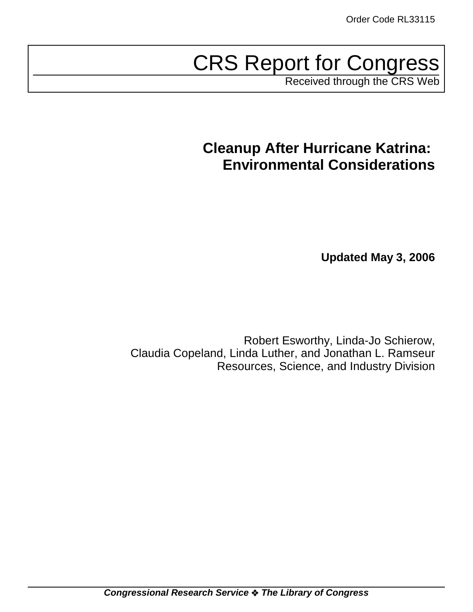# CRS Report for Congress

Received through the CRS Web

## **Cleanup After Hurricane Katrina: Environmental Considerations**

**Updated May 3, 2006**

Robert Esworthy, Linda-Jo Schierow, Claudia Copeland, Linda Luther, and Jonathan L. Ramseur Resources, Science, and Industry Division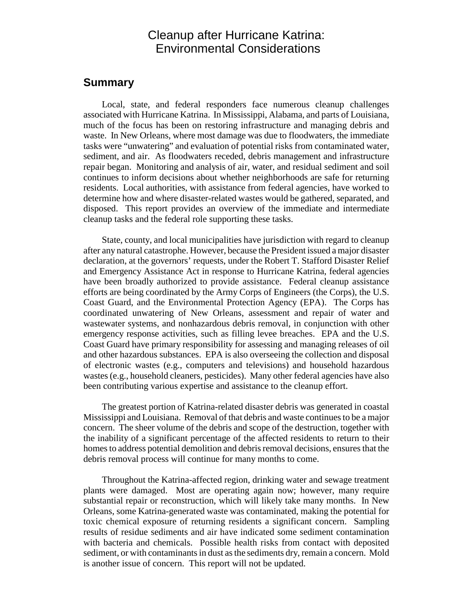## Cleanup after Hurricane Katrina: Environmental Considerations

#### **Summary**

Local, state, and federal responders face numerous cleanup challenges associated with Hurricane Katrina. In Mississippi, Alabama, and parts of Louisiana, much of the focus has been on restoring infrastructure and managing debris and waste. In New Orleans, where most damage was due to floodwaters, the immediate tasks were "unwatering" and evaluation of potential risks from contaminated water, sediment, and air. As floodwaters receded, debris management and infrastructure repair began. Monitoring and analysis of air, water, and residual sediment and soil continues to inform decisions about whether neighborhoods are safe for returning residents. Local authorities, with assistance from federal agencies, have worked to determine how and where disaster-related wastes would be gathered, separated, and disposed. This report provides an overview of the immediate and intermediate cleanup tasks and the federal role supporting these tasks.

State, county, and local municipalities have jurisdiction with regard to cleanup after any natural catastrophe. However, because the President issued a major disaster declaration, at the governors' requests, under the Robert T. Stafford Disaster Relief and Emergency Assistance Act in response to Hurricane Katrina, federal agencies have been broadly authorized to provide assistance. Federal cleanup assistance efforts are being coordinated by the Army Corps of Engineers (the Corps), the U.S. Coast Guard, and the Environmental Protection Agency (EPA). The Corps has coordinated unwatering of New Orleans, assessment and repair of water and wastewater systems, and nonhazardous debris removal, in conjunction with other emergency response activities, such as filling levee breaches. EPA and the U.S. Coast Guard have primary responsibility for assessing and managing releases of oil and other hazardous substances. EPA is also overseeing the collection and disposal of electronic wastes (e.g., computers and televisions) and household hazardous wastes (e.g., household cleaners, pesticides). Many other federal agencies have also been contributing various expertise and assistance to the cleanup effort.

The greatest portion of Katrina-related disaster debris was generated in coastal Mississippi and Louisiana. Removal of that debris and waste continues to be a major concern. The sheer volume of the debris and scope of the destruction, together with the inability of a significant percentage of the affected residents to return to their homes to address potential demolition and debris removal decisions, ensures that the debris removal process will continue for many months to come.

Throughout the Katrina-affected region, drinking water and sewage treatment plants were damaged. Most are operating again now; however, many require substantial repair or reconstruction, which will likely take many months. In New Orleans, some Katrina-generated waste was contaminated, making the potential for toxic chemical exposure of returning residents a significant concern. Sampling results of residue sediments and air have indicated some sediment contamination with bacteria and chemicals. Possible health risks from contact with deposited sediment, or with contaminants in dust as the sediments dry, remain a concern. Mold is another issue of concern. This report will not be updated.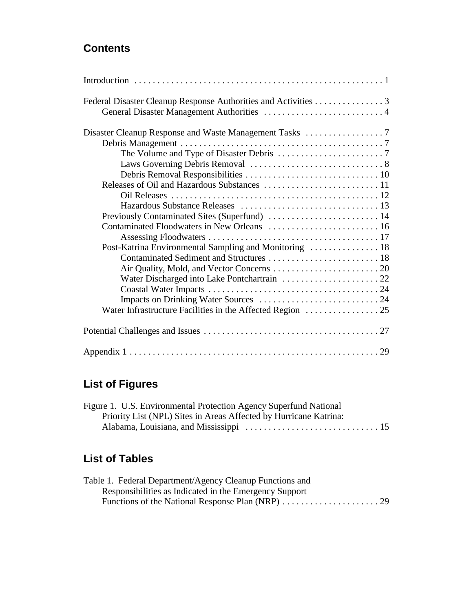## **Contents**

| Federal Disaster Cleanup Response Authorities and Activities 3 |  |
|----------------------------------------------------------------|--|
|                                                                |  |
|                                                                |  |
|                                                                |  |
|                                                                |  |
|                                                                |  |
|                                                                |  |
|                                                                |  |
|                                                                |  |
|                                                                |  |
|                                                                |  |
|                                                                |  |
|                                                                |  |
|                                                                |  |
|                                                                |  |
|                                                                |  |
|                                                                |  |
|                                                                |  |
|                                                                |  |
|                                                                |  |
|                                                                |  |
|                                                                |  |

## **List of Figures**

| Figure 1. U.S. Environmental Protection Agency Superfund National |  |
|-------------------------------------------------------------------|--|
| Priority List (NPL) Sites in Areas Affected by Hurricane Katrina: |  |
|                                                                   |  |

## **List of Tables**

| Table 1. Federal Department/Agency Cleanup Functions and |  |
|----------------------------------------------------------|--|
| Responsibilities as Indicated in the Emergency Support   |  |
|                                                          |  |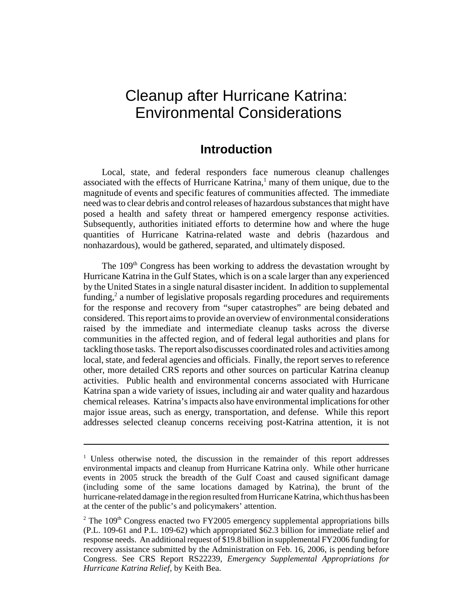## Cleanup after Hurricane Katrina: Environmental Considerations

### **Introduction**

Local, state, and federal responders face numerous cleanup challenges associated with the effects of Hurricane Katrina,<sup>1</sup> many of them unique, due to the magnitude of events and specific features of communities affected. The immediate need was to clear debris and control releases of hazardous substances that might have posed a health and safety threat or hampered emergency response activities. Subsequently, authorities initiated efforts to determine how and where the huge quantities of Hurricane Katrina-related waste and debris (hazardous and nonhazardous), would be gathered, separated, and ultimately disposed.

The 109<sup>th</sup> Congress has been working to address the devastation wrought by Hurricane Katrina in the Gulf States, which is on a scale larger than any experienced by the United States in a single natural disaster incident. In addition to supplemental funding, $2$  a number of legislative proposals regarding procedures and requirements for the response and recovery from "super catastrophes" are being debated and considered. This report aims to provide an overview of environmental considerations raised by the immediate and intermediate cleanup tasks across the diverse communities in the affected region, and of federal legal authorities and plans for tackling those tasks. The report also discusses coordinated roles and activities among local, state, and federal agencies and officials. Finally, the report serves to reference other, more detailed CRS reports and other sources on particular Katrina cleanup activities. Public health and environmental concerns associated with Hurricane Katrina span a wide variety of issues, including air and water quality and hazardous chemical releases. Katrina's impacts also have environmental implications for other major issue areas, such as energy, transportation, and defense. While this report addresses selected cleanup concerns receiving post-Katrina attention, it is not

<sup>&</sup>lt;sup>1</sup> Unless otherwise noted, the discussion in the remainder of this report addresses environmental impacts and cleanup from Hurricane Katrina only. While other hurricane events in 2005 struck the breadth of the Gulf Coast and caused significant damage (including some of the same locations damaged by Katrina), the brunt of the hurricane-related damage in the region resulted from Hurricane Katrina, which thus has been at the center of the public's and policymakers' attention.

<sup>&</sup>lt;sup>2</sup> The 109<sup>th</sup> Congress enacted two FY2005 emergency supplemental appropriations bills (P.L. 109-61 and P.L. 109-62) which appropriated \$62.3 billion for immediate relief and response needs. An additional request of \$19.8 billion in supplemental FY2006 funding for recovery assistance submitted by the Administration on Feb. 16, 2006, is pending before Congress. See CRS Report RS22239, *Emergency Supplemental Appropriations for Hurricane Katrina Relief*, by Keith Bea.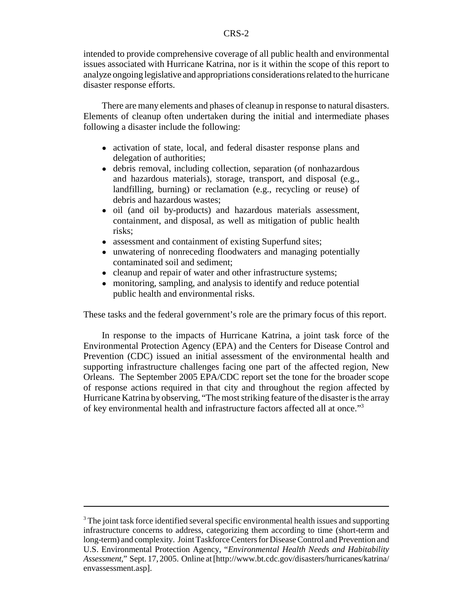intended to provide comprehensive coverage of all public health and environmental issues associated with Hurricane Katrina, nor is it within the scope of this report to analyze ongoing legislative and appropriations considerations related to the hurricane disaster response efforts.

There are many elements and phases of cleanup in response to natural disasters. Elements of cleanup often undertaken during the initial and intermediate phases following a disaster include the following:

- activation of state, local, and federal disaster response plans and delegation of authorities;
- debris removal, including collection, separation (of nonhazardous and hazardous materials), storage, transport, and disposal (e.g., landfilling, burning) or reclamation (e.g., recycling or reuse) of debris and hazardous wastes;
- oil (and oil by-products) and hazardous materials assessment, containment, and disposal, as well as mitigation of public health risks;
- assessment and containment of existing Superfund sites;
- unwatering of nonreceding floodwaters and managing potentially contaminated soil and sediment;
- cleanup and repair of water and other infrastructure systems;
- monitoring, sampling, and analysis to identify and reduce potential public health and environmental risks.

These tasks and the federal government's role are the primary focus of this report.

In response to the impacts of Hurricane Katrina, a joint task force of the Environmental Protection Agency (EPA) and the Centers for Disease Control and Prevention (CDC) issued an initial assessment of the environmental health and supporting infrastructure challenges facing one part of the affected region, New Orleans. The September 2005 EPA/CDC report set the tone for the broader scope of response actions required in that city and throughout the region affected by Hurricane Katrina by observing, "The most striking feature of the disaster is the array of key environmental health and infrastructure factors affected all at once."3

 $3$  The joint task force identified several specific environmental health issues and supporting infrastructure concerns to address, categorizing them according to time (short-term and long-term) and complexity. Joint Taskforce Centers for Disease Control and Prevention and U.S. Environmental Protection Agency, "*Environmental Health Needs and Habitability Assessment*," Sept. 17, 2005. Online at [http://www.bt.cdc.gov/disasters/hurricanes/katrina/ envassessment.asp].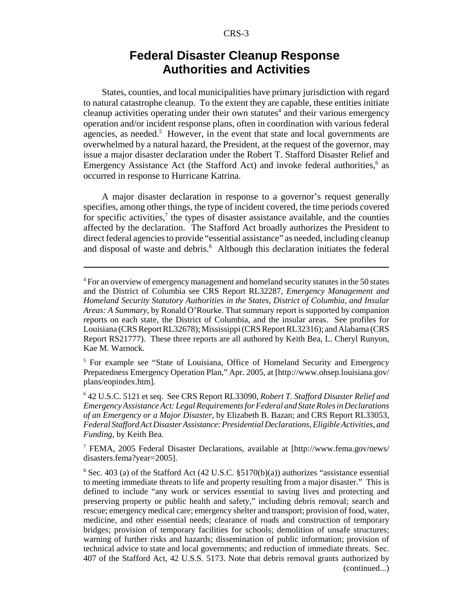## **Federal Disaster Cleanup Response Authorities and Activities**

States, counties, and local municipalities have primary jurisdiction with regard to natural catastrophe cleanup. To the extent they are capable, these entities initiate cleanup activities operating under their own statutes<sup>4</sup> and their various emergency operation and/or incident response plans, often in coordination with various federal agencies, as needed.<sup>5</sup> However, in the event that state and local governments are overwhelmed by a natural hazard, the President, at the request of the governor, may issue a major disaster declaration under the Robert T. Stafford Disaster Relief and Emergency Assistance Act (the Stafford Act) and invoke federal authorities,<sup>6</sup> as occurred in response to Hurricane Katrina.

A major disaster declaration in response to a governor's request generally specifies, among other things, the type of incident covered, the time periods covered for specific activities,<sup>7</sup> the types of disaster assistance available, and the counties affected by the declaration. The Stafford Act broadly authorizes the President to direct federal agencies to provide "essential assistance" as needed, including cleanup and disposal of waste and debris.<sup>8</sup> Although this declaration initiates the federal

<sup>5</sup> For example see "State of Louisiana, Office of Homeland Security and Emergency Preparedness Emergency Operation Plan," Apr. 2005, at [http://www.ohsep.louisiana.gov/ plans/eopindex.htm].

6 42 U.S.C. 5121 et seq. See CRS Report RL33090, *Robert T. Stafford Disaster Relief and Emergency Assistance Act: Legal Requirements for Federal and State Roles in Declarations of an Emergency or a Major Disaster*, by Elizabeth B. Bazan; and CRS Report RL33053, *Federal Stafford Act Disaster Assistance: Presidential Declarations, Eligible Activities, and Funding*, by Keith Bea.

7 FEMA, 2005 Federal Disaster Declarations, available at [http://www.fema.gov/news/ disasters.fema?year=2005].

<sup>&</sup>lt;sup>4</sup> For an overview of emergency management and homeland security statutes in the 50 states and the District of Columbia see CRS Report RL32287, *Emergency Management and Homeland Security Statutory Authorities in the States, District of Columbia, and Insular Areas: A Summary*, by Ronald O'Rourke. That summary report is supported by companion reports on each state, the District of Columbia, and the insular areas. See profiles for Louisiana (CRS Report RL32678); Mississippi (CRS Report RL32316); and Alabama (CRS Report RS21777). These three reports are all authored by Keith Bea, L. Cheryl Runyon, Kae M. Warnock.

 $8$  Sec. 403 (a) of the Stafford Act (42 U.S.C.  $\S5170(b)(a)$ ) authorizes "assistance essential to meeting immediate threats to life and property resulting from a major disaster." This is defined to include "any work or services essential to saving lives and protecting and preserving property or public health and safety," including debris removal; search and rescue; emergency medical care; emergency shelter and transport; provision of food, water, medicine, and other essential needs; clearance of roads and construction of temporary bridges; provision of temporary facilities for schools; demolition of unsafe structures; warning of further risks and hazards; dissemination of public information; provision of technical advice to state and local governments; and reduction of immediate threats. Sec. 407 of the Stafford Act, 42 U.S.S. 5173. Note that debris removal grants authorized by (continued...)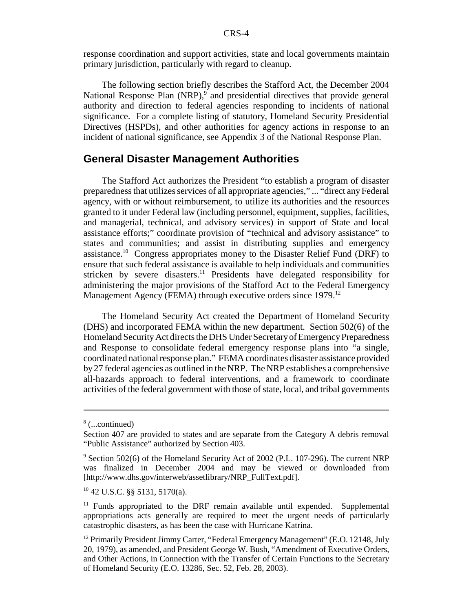response coordination and support activities, state and local governments maintain primary jurisdiction, particularly with regard to cleanup.

The following section briefly describes the Stafford Act, the December 2004 National Response Plan (NRP),<sup>9</sup> and presidential directives that provide general authority and direction to federal agencies responding to incidents of national significance. For a complete listing of statutory, Homeland Security Presidential Directives (HSPDs), and other authorities for agency actions in response to an incident of national significance, see Appendix 3 of the National Response Plan.

#### **General Disaster Management Authorities**

The Stafford Act authorizes the President "to establish a program of disaster preparedness that utilizes services of all appropriate agencies," ... "direct any Federal agency, with or without reimbursement, to utilize its authorities and the resources granted to it under Federal law (including personnel, equipment, supplies, facilities, and managerial, technical, and advisory services) in support of State and local assistance efforts;" coordinate provision of "technical and advisory assistance" to states and communities; and assist in distributing supplies and emergency assistance.<sup>10</sup> Congress appropriates money to the Disaster Relief Fund (DRF) to ensure that such federal assistance is available to help individuals and communities stricken by severe disasters.<sup>11</sup> Presidents have delegated responsibility for administering the major provisions of the Stafford Act to the Federal Emergency Management Agency (FEMA) through executive orders since  $1979$ <sup>12</sup>

The Homeland Security Act created the Department of Homeland Security (DHS) and incorporated FEMA within the new department. Section 502(6) of the Homeland Security Act directs the DHS Under Secretary of Emergency Preparedness and Response to consolidate federal emergency response plans into "a single, coordinated national response plan." FEMA coordinates disaster assistance provided by 27 federal agencies as outlined in the NRP. The NRP establishes a comprehensive all-hazards approach to federal interventions, and a framework to coordinate activities of the federal government with those of state, local, and tribal governments

<sup>8</sup> (...continued)

Section 407 are provided to states and are separate from the Category A debris removal "Public Assistance" authorized by Section 403.

<sup>&</sup>lt;sup>9</sup> Section 502(6) of the Homeland Security Act of 2002 (P.L. 107-296). The current NRP was finalized in December 2004 and may be viewed or downloaded from [http://www.dhs.gov/interweb/assetlibrary/NRP\_FullText.pdf].

 $10$  42 U.S.C. §§ 5131, 5170(a).

 $11$  Funds appropriated to the DRF remain available until expended. Supplemental appropriations acts generally are required to meet the urgent needs of particularly catastrophic disasters, as has been the case with Hurricane Katrina.

<sup>&</sup>lt;sup>12</sup> Primarily President Jimmy Carter, "Federal Emergency Management" (E.O. 12148, July 20, 1979), as amended, and President George W. Bush, "Amendment of Executive Orders, and Other Actions, in Connection with the Transfer of Certain Functions to the Secretary of Homeland Security (E.O. 13286, Sec. 52, Feb. 28, 2003).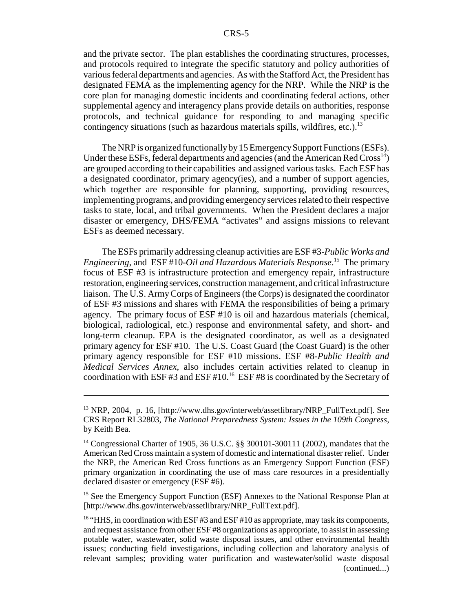and the private sector. The plan establishes the coordinating structures, processes, and protocols required to integrate the specific statutory and policy authorities of various federal departments and agencies. As with the Stafford Act, the President has designated FEMA as the implementing agency for the NRP. While the NRP is the core plan for managing domestic incidents and coordinating federal actions, other supplemental agency and interagency plans provide details on authorities, response protocols, and technical guidance for responding to and managing specific contingency situations (such as hazardous materials spills, wildfires, etc.).<sup>13</sup>

The NRP is organized functionally by 15 Emergency Support Functions (ESFs). Under these ESFs, federal departments and agencies (and the American Red  $Cross<sup>14</sup>$ ) are grouped according to their capabilities and assigned various tasks. Each ESF has a designated coordinator, primary agency(ies), and a number of support agencies, which together are responsible for planning, supporting, providing resources, implementing programs, and providing emergency services related to their respective tasks to state, local, and tribal governments. When the President declares a major disaster or emergency, DHS/FEMA "activates" and assigns missions to relevant ESFs as deemed necessary.

The ESFs primarily addressing cleanup activities are ESF #3-*Public Works and Engineering*, and ESF #10-*Oil and Hazardous Materials Response*. 15 The primary focus of ESF #3 is infrastructure protection and emergency repair, infrastructure restoration, engineering services, construction management, and critical infrastructure liaison. The U.S. Army Corps of Engineers (the Corps) is designated the coordinator of ESF #3 missions and shares with FEMA the responsibilities of being a primary agency. The primary focus of ESF #10 is oil and hazardous materials (chemical, biological, radiological, etc.) response and environmental safety, and short- and long-term cleanup. EPA is the designated coordinator, as well as a designated primary agency for ESF #10. The U.S. Coast Guard (the Coast Guard) is the other primary agency responsible for ESF #10 missions. ESF #8-*Public Health and Medical Services Annex*, also includes certain activities related to cleanup in coordination with ESF #3 and ESF #10.<sup>16</sup> ESF #8 is coordinated by the Secretary of

<sup>&</sup>lt;sup>13</sup> NRP, 2004, p. 16, [http://www.dhs.gov/interweb/assetlibrary/NRP\_FullText.pdf]. See CRS Report RL32803, *The National Preparedness System: Issues in the 109th Congress*, by Keith Bea.

<sup>&</sup>lt;sup>14</sup> Congressional Charter of 1905, 36 U.S.C. §§ 300101-300111 (2002), mandates that the American Red Cross maintain a system of domestic and international disaster relief. Under the NRP, the American Red Cross functions as an Emergency Support Function (ESF) primary organization in coordinating the use of mass care resources in a presidentially declared disaster or emergency (ESF #6).

<sup>&</sup>lt;sup>15</sup> See the Emergency Support Function (ESF) Annexes to the National Response Plan at [http://www.dhs.gov/interweb/assetlibrary/NRP\_FullText.pdf].

<sup>&</sup>lt;sup>16</sup> "HHS, in coordination with ESF #3 and ESF #10 as appropriate, may task its components, and request assistance from other ESF #8 organizations as appropriate, to assist in assessing potable water, wastewater, solid waste disposal issues, and other environmental health issues; conducting field investigations, including collection and laboratory analysis of relevant samples; providing water purification and wastewater/solid waste disposal (continued...)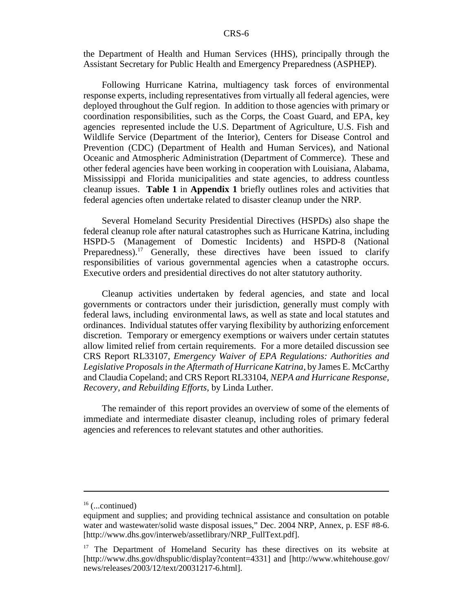the Department of Health and Human Services (HHS), principally through the Assistant Secretary for Public Health and Emergency Preparedness (ASPHEP).

Following Hurricane Katrina, multiagency task forces of environmental response experts, including representatives from virtually all federal agencies, were deployed throughout the Gulf region. In addition to those agencies with primary or coordination responsibilities, such as the Corps, the Coast Guard, and EPA, key agencies represented include the U.S. Department of Agriculture, U.S. Fish and Wildlife Service (Department of the Interior), Centers for Disease Control and Prevention (CDC) (Department of Health and Human Services), and National Oceanic and Atmospheric Administration (Department of Commerce). These and other federal agencies have been working in cooperation with Louisiana, Alabama, Mississippi and Florida municipalities and state agencies, to address countless cleanup issues. **Table 1** in **Appendix 1** briefly outlines roles and activities that federal agencies often undertake related to disaster cleanup under the NRP.

Several Homeland Security Presidential Directives (HSPDs) also shape the federal cleanup role after natural catastrophes such as Hurricane Katrina, including HSPD-5 (Management of Domestic Incidents) and HSPD-8 (National Preparedness).<sup>17</sup> Generally, these directives have been issued to clarify responsibilities of various governmental agencies when a catastrophe occurs. Executive orders and presidential directives do not alter statutory authority.

Cleanup activities undertaken by federal agencies, and state and local governments or contractors under their jurisdiction, generally must comply with federal laws, including environmental laws, as well as state and local statutes and ordinances. Individual statutes offer varying flexibility by authorizing enforcement discretion. Temporary or emergency exemptions or waivers under certain statutes allow limited relief from certain requirements. For a more detailed discussion see CRS Report RL33107, *Emergency Waiver of EPA Regulations: Authorities and Legislative Proposals in the Aftermath of Hurricane Katrina*, by James E. McCarthy and Claudia Copeland; and CRS Report RL33104, *NEPA and Hurricane Response, Recovery, and Rebuilding Efforts*, by Linda Luther.

The remainder of this report provides an overview of some of the elements of immediate and intermediate disaster cleanup, including roles of primary federal agencies and references to relevant statutes and other authorities.

 $16$  (...continued)

equipment and supplies; and providing technical assistance and consultation on potable water and wastewater/solid waste disposal issues," Dec. 2004 NRP, Annex, p. ESF #8-6. [http://www.dhs.gov/interweb/assetlibrary/NRP\_FullText.pdf].

<sup>&</sup>lt;sup>17</sup> The Department of Homeland Security has these directives on its website at [http://www.dhs.gov/dhspublic/display?content=4331] and [http://www.whitehouse.gov/ news/releases/2003/12/text/20031217-6.html].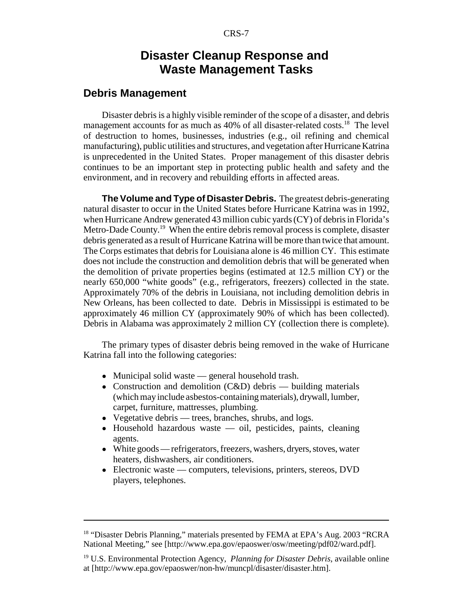## **Disaster Cleanup Response and Waste Management Tasks**

#### **Debris Management**

Disaster debris is a highly visible reminder of the scope of a disaster, and debris management accounts for as much as 40% of all disaster-related costs.<sup>18</sup> The level of destruction to homes, businesses, industries (e.g., oil refining and chemical manufacturing), public utilities and structures, and vegetation after Hurricane Katrina is unprecedented in the United States. Proper management of this disaster debris continues to be an important step in protecting public health and safety and the environment, and in recovery and rebuilding efforts in affected areas.

**The Volume and Type of Disaster Debris.** The greatest debris-generating natural disaster to occur in the United States before Hurricane Katrina was in 1992, when Hurricane Andrew generated 43 million cubic yards (CY) of debris in Florida's Metro-Dade County.<sup>19</sup> When the entire debris removal process is complete, disaster debris generated as a result of Hurricane Katrina will be more than twice that amount. The Corps estimates that debris for Louisiana alone is 46 million CY. This estimate does not include the construction and demolition debris that will be generated when the demolition of private properties begins (estimated at 12.5 million CY) or the nearly 650,000 "white goods" (e.g., refrigerators, freezers) collected in the state. Approximately 70% of the debris in Louisiana, not including demolition debris in New Orleans, has been collected to date. Debris in Mississippi is estimated to be approximately 46 million CY (approximately 90% of which has been collected). Debris in Alabama was approximately 2 million CY (collection there is complete).

The primary types of disaster debris being removed in the wake of Hurricane Katrina fall into the following categories:

- Municipal solid waste general household trash.
- Construction and demolition  $(C&D)$  debris building materials (which may include asbestos-containing materials), drywall, lumber, carpet, furniture, mattresses, plumbing.
- Vegetative debris trees, branches, shrubs, and logs.
- Household hazardous waste oil, pesticides, paints, cleaning agents.
- White goods refrigerators, freezers, washers, dryers, stoves, water heaters, dishwashers, air conditioners.
- Electronic waste computers, televisions, printers, stereos, DVD players, telephones.

<sup>&</sup>lt;sup>18</sup> "Disaster Debris Planning," materials presented by FEMA at EPA's Aug. 2003 "RCRA National Meeting," see [http://www.epa.gov/epaoswer/osw/meeting/pdf02/ward.pdf].

<sup>19</sup> U.S. Environmental Protection Agency, *Planning for Disaster Debris*, available online at [http://www.epa.gov/epaoswer/non-hw/muncpl/disaster/disaster.htm].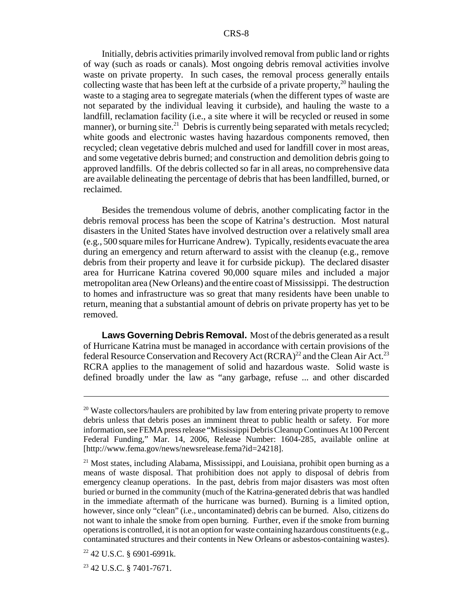Initially, debris activities primarily involved removal from public land or rights of way (such as roads or canals). Most ongoing debris removal activities involve waste on private property. In such cases, the removal process generally entails collecting waste that has been left at the curbside of a private property,<sup>20</sup> hauling the waste to a staging area to segregate materials (when the different types of waste are not separated by the individual leaving it curbside), and hauling the waste to a landfill, reclamation facility (i.e., a site where it will be recycled or reused in some manner), or burning site.<sup>21</sup> Debris is currently being separated with metals recycled; white goods and electronic wastes having hazardous components removed, then recycled; clean vegetative debris mulched and used for landfill cover in most areas, and some vegetative debris burned; and construction and demolition debris going to approved landfills. Of the debris collected so far in all areas, no comprehensive data are available delineating the percentage of debris that has been landfilled, burned, or reclaimed.

Besides the tremendous volume of debris, another complicating factor in the debris removal process has been the scope of Katrina's destruction. Most natural disasters in the United States have involved destruction over a relatively small area (e.g., 500 square miles for Hurricane Andrew). Typically, residents evacuate the area during an emergency and return afterward to assist with the cleanup (e.g., remove debris from their property and leave it for curbside pickup). The declared disaster area for Hurricane Katrina covered 90,000 square miles and included a major metropolitan area (New Orleans) and the entire coast of Mississippi. The destruction to homes and infrastructure was so great that many residents have been unable to return, meaning that a substantial amount of debris on private property has yet to be removed.

**Laws Governing Debris Removal.** Most of the debris generated as a result of Hurricane Katrina must be managed in accordance with certain provisions of the federal Resource Conservation and Recovery Act  $(RCRA)^{22}$  and the Clean Air Act.<sup>23</sup> RCRA applies to the management of solid and hazardous waste. Solid waste is defined broadly under the law as "any garbage, refuse ... and other discarded

<sup>&</sup>lt;sup>20</sup> Waste collectors/haulers are prohibited by law from entering private property to remove debris unless that debris poses an imminent threat to public health or safety. For more information, see FEMA press release "Mississippi Debris Cleanup Continues At 100 Percent Federal Funding," Mar. 14, 2006, Release Number: 1604-285, available online at [http://www.fema.gov/news/newsrelease.fema?id=24218].

<sup>&</sup>lt;sup>21</sup> Most states, including Alabama, Mississippi, and Louisiana, prohibit open burning as a means of waste disposal. That prohibition does not apply to disposal of debris from emergency cleanup operations. In the past, debris from major disasters was most often buried or burned in the community (much of the Katrina-generated debris that was handled in the immediate aftermath of the hurricane was burned). Burning is a limited option, however, since only "clean" (i.e., uncontaminated) debris can be burned. Also, citizens do not want to inhale the smoke from open burning. Further, even if the smoke from burning operations is controlled, it is not an option for waste containing hazardous constituents (e.g., contaminated structures and their contents in New Orleans or asbestos-containing wastes).

 $22$  42 U.S.C. § 6901-6991k.

 $23$  42 U.S.C. § 7401-7671.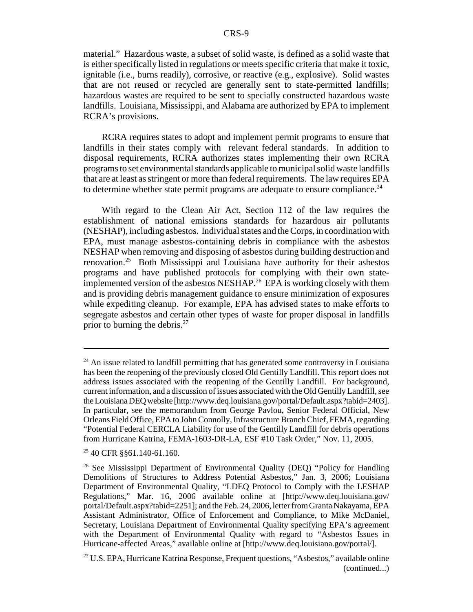material." Hazardous waste, a subset of solid waste, is defined as a solid waste that is either specifically listed in regulations or meets specific criteria that make it toxic, ignitable (i.e., burns readily), corrosive, or reactive (e.g., explosive). Solid wastes that are not reused or recycled are generally sent to state-permitted landfills; hazardous wastes are required to be sent to specially constructed hazardous waste landfills. Louisiana, Mississippi, and Alabama are authorized by EPA to implement RCRA's provisions.

RCRA requires states to adopt and implement permit programs to ensure that landfills in their states comply with relevant federal standards. In addition to disposal requirements, RCRA authorizes states implementing their own RCRA programs to set environmental standards applicable to municipal solid waste landfills that are at least as stringent or more than federal requirements. The law requires EPA to determine whether state permit programs are adequate to ensure compliance.<sup>24</sup>

With regard to the Clean Air Act, Section 112 of the law requires the establishment of national emissions standards for hazardous air pollutants (NESHAP), including asbestos. Individual states and the Corps, in coordination with EPA, must manage asbestos-containing debris in compliance with the asbestos NESHAP when removing and disposing of asbestos during building destruction and renovation.25 Both Mississippi and Louisiana have authority for their asbestos programs and have published protocols for complying with their own stateimplemented version of the asbestos NESHAP.<sup>26</sup> EPA is working closely with them and is providing debris management guidance to ensure minimization of exposures while expediting cleanup. For example, EPA has advised states to make efforts to segregate asbestos and certain other types of waste for proper disposal in landfills prior to burning the debris. $27$ 

 $24$  An issue related to landfill permitting that has generated some controversy in Louisiana has been the reopening of the previously closed Old Gentilly Landfill. This report does not address issues associated with the reopening of the Gentilly Landfill. For background, current information, and a discussion of issues associated with the Old Gentilly Landfill, see the Louisiana DEQ website [http://www.deq.louisiana.gov/portal/Default.aspx?tabid=2403]. In particular, see the memorandum from George Pavlou, Senior Federal Official, New Orleans Field Office, EPA to John Connolly, Infrastructure Branch Chief, FEMA, regarding "Potential Federal CERCLA Liability for use of the Gentilly Landfill for debris operations from Hurricane Katrina, FEMA-1603-DR-LA, ESF #10 Task Order," Nov. 11, 2005.

<sup>25 40</sup> CFR §§61.140-61.160.

<sup>&</sup>lt;sup>26</sup> See Mississippi Department of Environmental Quality (DEQ) "Policy for Handling Demolitions of Structures to Address Potential Asbestos," Jan. 3, 2006; Louisiana Department of Environmental Quality, "LDEQ Protocol to Comply with the LESHAP Regulations," Mar. 16, 2006 available online at [http://www.deq.louisiana.gov/ portal/Default.aspx?tabid=2251]; and the Feb. 24, 2006, letter from Granta Nakayama, EPA Assistant Administrator, Office of Enforcement and Compliance, to Mike McDaniel, Secretary, Louisiana Department of Environmental Quality specifying EPA's agreement with the Department of Environmental Quality with regard to "Asbestos Issues in Hurricane-affected Areas," available online at [http://www.deq.louisiana.gov/portal/].

<sup>27</sup> U.S. EPA, Hurricane Katrina Response, Frequent questions, "Asbestos," available online (continued...)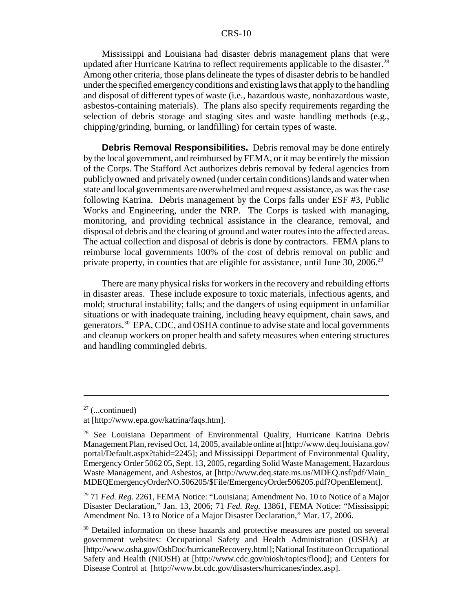Mississippi and Louisiana had disaster debris management plans that were updated after Hurricane Katrina to reflect requirements applicable to the disaster.<sup>28</sup> Among other criteria, those plans delineate the types of disaster debris to be handled under the specified emergency conditions and existing laws that apply to the handling and disposal of different types of waste (i.e., hazardous waste, nonhazardous waste, asbestos-containing materials). The plans also specify requirements regarding the selection of debris storage and staging sites and waste handling methods (e.g., chipping/grinding, burning, or landfilling) for certain types of waste.

**Debris Removal Responsibilities.** Debris removal may be done entirely by the local government, and reimbursed by FEMA, or it may be entirely the mission of the Corps. The Stafford Act authorizes debris removal by federal agencies from publicly owned and privately owned (under certain conditions) lands and water when state and local governments are overwhelmed and request assistance, as was the case following Katrina. Debris management by the Corps falls under ESF #3, Public Works and Engineering, under the NRP. The Corps is tasked with managing, monitoring, and providing technical assistance in the clearance, removal, and disposal of debris and the clearing of ground and water routes into the affected areas. The actual collection and disposal of debris is done by contractors. FEMA plans to reimburse local governments 100% of the cost of debris removal on public and private property, in counties that are eligible for assistance, until June 30, 2006.<sup>29</sup>

There are many physical risks for workers in the recovery and rebuilding efforts in disaster areas. These include exposure to toxic materials, infectious agents, and mold; structural instability; falls; and the dangers of using equipment in unfamiliar situations or with inadequate training, including heavy equipment, chain saws, and generators.30 EPA, CDC, and OSHA continue to advise state and local governments and cleanup workers on proper health and safety measures when entering structures and handling commingled debris.

 $27$  (...continued)

at [http://www.epa.gov/katrina/faqs.htm].

<sup>&</sup>lt;sup>28</sup> See Louisiana Department of Environmental Quality, Hurricane Katrina Debris Management Plan, revised Oct. 14, 2005, available online at [http://www.deq.louisiana.gov/ portal/Default.aspx?tabid=2245]; and Mississippi Department of Environmental Quality, Emergency Order 5062 05, Sept. 13, 2005, regarding Solid Waste Management, Hazardous Waste Management, and Asbestos, at [http://www.deq.state.ms.us/MDEQ.nsf/pdf/Main\_ MDEQEmergencyOrderNO.506205/\$File/EmergencyOrder506205.pdf?OpenElement].

<sup>29 71</sup> *Fed. Reg*. 2261, FEMA Notice: "Louisiana; Amendment No. 10 to Notice of a Major Disaster Declaration," Jan. 13, 2006; 71 *Fed. Reg.* 13861, FEMA Notice: "Mississippi; Amendment No. 13 to Notice of a Major Disaster Declaration," Mar. 17, 2006.

<sup>&</sup>lt;sup>30</sup> Detailed information on these hazards and protective measures are posted on several government websites: Occupational Safety and Health Administration (OSHA) at [http://www.osha.gov/OshDoc/hurricaneRecovery.html]; National Institute on Occupational Safety and Health (NIOSH) at [http://www.cdc.gov/niosh/topics/flood]; and Centers for Disease Control at [http://www.bt.cdc.gov/disasters/hurricanes/index.asp].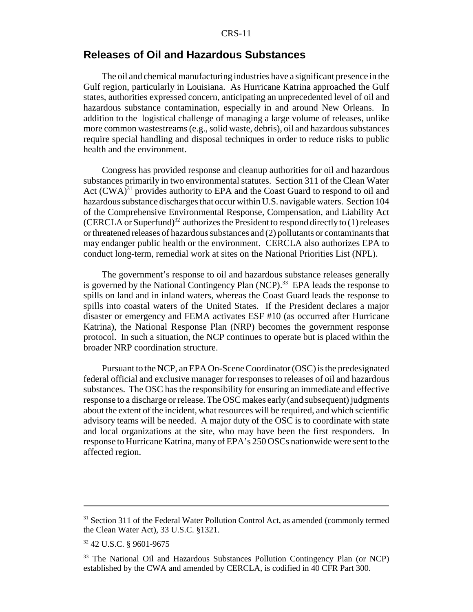#### **Releases of Oil and Hazardous Substances**

The oil and chemical manufacturing industries have a significant presence in the Gulf region, particularly in Louisiana. As Hurricane Katrina approached the Gulf states, authorities expressed concern, anticipating an unprecedented level of oil and hazardous substance contamination, especially in and around New Orleans. In addition to the logistical challenge of managing a large volume of releases, unlike more common wastestreams (e.g., solid waste, debris), oil and hazardous substances require special handling and disposal techniques in order to reduce risks to public health and the environment.

Congress has provided response and cleanup authorities for oil and hazardous substances primarily in two environmental statutes. Section 311 of the Clean Water Act  $(CWA)^{31}$  provides authority to EPA and the Coast Guard to respond to oil and hazardous substance discharges that occur within U.S. navigable waters. Section 104 of the Comprehensive Environmental Response, Compensation, and Liability Act (CERCLA or Superfund)<sup>32</sup> authorizes the President to respond directly to  $(1)$  releases or threatened releases of hazardous substances and (2) pollutants or contaminants that may endanger public health or the environment. CERCLA also authorizes EPA to conduct long-term, remedial work at sites on the National Priorities List (NPL).

The government's response to oil and hazardous substance releases generally is governed by the National Contingency Plan  $(NCP)$ .<sup>33</sup> EPA leads the response to spills on land and in inland waters, whereas the Coast Guard leads the response to spills into coastal waters of the United States. If the President declares a major disaster or emergency and FEMA activates ESF #10 (as occurred after Hurricane Katrina), the National Response Plan (NRP) becomes the government response protocol. In such a situation, the NCP continues to operate but is placed within the broader NRP coordination structure.

Pursuant to the NCP, an EPA On-Scene Coordinator (OSC) is the predesignated federal official and exclusive manager for responses to releases of oil and hazardous substances. The OSC has the responsibility for ensuring an immediate and effective response to a discharge or release. The OSC makes early (and subsequent) judgments about the extent of the incident, what resources will be required, and which scientific advisory teams will be needed. A major duty of the OSC is to coordinate with state and local organizations at the site, who may have been the first responders. In response to Hurricane Katrina, many of EPA's 250 OSCs nationwide were sent to the affected region.

<sup>&</sup>lt;sup>31</sup> Section 311 of the Federal Water Pollution Control Act, as amended (commonly termed the Clean Water Act), 33 U.S.C. §1321.

<sup>32 42</sup> U.S.C. § 9601-9675

<sup>&</sup>lt;sup>33</sup> The National Oil and Hazardous Substances Pollution Contingency Plan (or NCP) established by the CWA and amended by CERCLA, is codified in 40 CFR Part 300.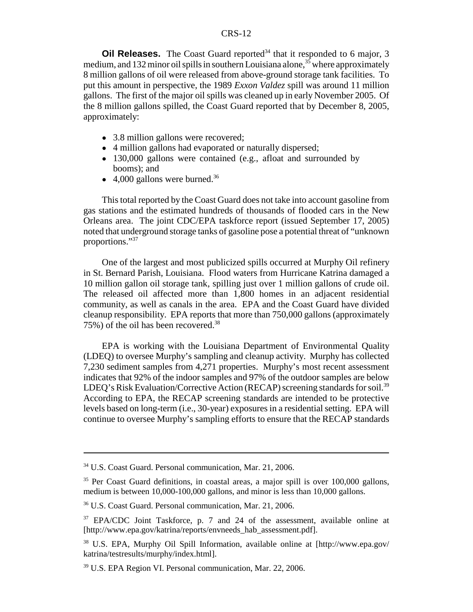**Oil Releases.** The Coast Guard reported<sup>34</sup> that it responded to 6 major, 3 medium, and 132 minor oil spills in southern Louisiana alone,  $35\overline{5}$  where approximately 8 million gallons of oil were released from above-ground storage tank facilities. To put this amount in perspective, the 1989 *Exxon Valdez* spill was around 11 million gallons. The first of the major oil spills was cleaned up in early November 2005. Of the 8 million gallons spilled, the Coast Guard reported that by December 8, 2005, approximately:

- 3.8 million gallons were recovered;
- 4 million gallons had evaporated or naturally dispersed;
- 130,000 gallons were contained (e.g., afloat and surrounded by booms); and
- $\bullet$  4,000 gallons were burned.<sup>36</sup>

This total reported by the Coast Guard does not take into account gasoline from gas stations and the estimated hundreds of thousands of flooded cars in the New Orleans area. The joint CDC/EPA taskforce report (issued September 17, 2005) noted that underground storage tanks of gasoline pose a potential threat of "unknown proportions."37

One of the largest and most publicized spills occurred at Murphy Oil refinery in St. Bernard Parish, Louisiana. Flood waters from Hurricane Katrina damaged a 10 million gallon oil storage tank, spilling just over 1 million gallons of crude oil. The released oil affected more than 1,800 homes in an adjacent residential community, as well as canals in the area. EPA and the Coast Guard have divided cleanup responsibility. EPA reports that more than 750,000 gallons (approximately 75%) of the oil has been recovered.38

EPA is working with the Louisiana Department of Environmental Quality (LDEQ) to oversee Murphy's sampling and cleanup activity. Murphy has collected 7,230 sediment samples from 4,271 properties. Murphy's most recent assessment indicates that 92% of the indoor samples and 97% of the outdoor samples are below LDEO's Risk Evaluation/Corrective Action (RECAP) screening standards for soil.<sup>39</sup> According to EPA, the RECAP screening standards are intended to be protective levels based on long-term (i.e., 30-year) exposures in a residential setting. EPA will continue to oversee Murphy's sampling efforts to ensure that the RECAP standards

<sup>34</sup> U.S. Coast Guard. Personal communication, Mar. 21, 2006.

<sup>&</sup>lt;sup>35</sup> Per Coast Guard definitions, in coastal areas, a major spill is over 100,000 gallons, medium is between 10,000-100,000 gallons, and minor is less than 10,000 gallons.

<sup>36</sup> U.S. Coast Guard. Personal communication, Mar. 21, 2006.

<sup>&</sup>lt;sup>37</sup> EPA/CDC Joint Taskforce, p. 7 and 24 of the assessment, available online at [http://www.epa.gov/katrina/reports/envneeds\_hab\_assessment.pdf].

<sup>38</sup> U.S. EPA, Murphy Oil Spill Information, available online at [http://www.epa.gov/ katrina/testresults/murphy/index.html].

<sup>&</sup>lt;sup>39</sup> U.S. EPA Region VI. Personal communication, Mar. 22, 2006.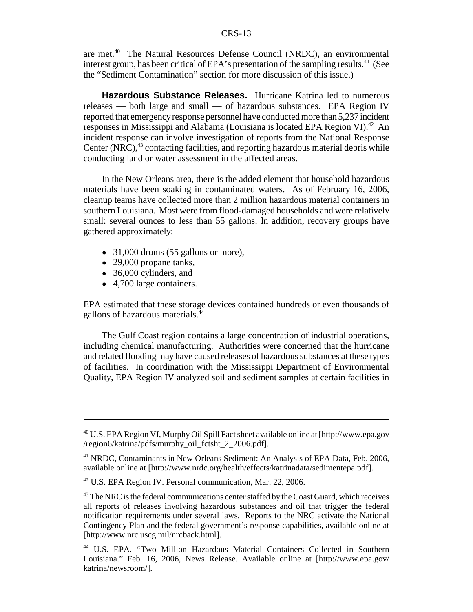are met.40 The Natural Resources Defense Council (NRDC), an environmental interest group, has been critical of EPA's presentation of the sampling results.<sup>41</sup> (See the "Sediment Contamination" section for more discussion of this issue.)

**Hazardous Substance Releases.** Hurricane Katrina led to numerous releases — both large and small — of hazardous substances. EPA Region IV reported that emergency response personnel have conducted more than 5,237 incident responses in Mississippi and Alabama (Louisiana is located EPA Region VI).<sup>42</sup> An incident response can involve investigation of reports from the National Response Center (NRC), $43$  contacting facilities, and reporting hazardous material debris while conducting land or water assessment in the affected areas.

In the New Orleans area, there is the added element that household hazardous materials have been soaking in contaminated waters. As of February 16, 2006, cleanup teams have collected more than 2 million hazardous material containers in southern Louisiana. Most were from flood-damaged households and were relatively small: several ounces to less than 55 gallons. In addition, recovery groups have gathered approximately:

- $\bullet$  31,000 drums (55 gallons or more),
- $\bullet$  29,000 propane tanks,
- 36,000 cylinders, and
- 4,700 large containers.

EPA estimated that these storage devices contained hundreds or even thousands of gallons of hazardous materials.44

The Gulf Coast region contains a large concentration of industrial operations, including chemical manufacturing. Authorities were concerned that the hurricane and related flooding may have caused releases of hazardous substances at these types of facilities. In coordination with the Mississippi Department of Environmental Quality, EPA Region IV analyzed soil and sediment samples at certain facilities in

<sup>40</sup> U.S. EPA Region VI, Murphy Oil Spill Fact sheet available online at [http://www.epa.gov /region6/katrina/pdfs/murphy\_oil\_fctsht\_2\_2006.pdf].

<sup>41</sup> NRDC, Contaminants in New Orleans Sediment: An Analysis of EPA Data, Feb. 2006, available online at [http://www.nrdc.org/health/effects/katrinadata/sedimentepa.pdf].

<sup>42</sup> U.S. EPA Region IV. Personal communication, Mar. 22, 2006.

<sup>&</sup>lt;sup>43</sup> The NRC is the federal communications center staffed by the Coast Guard, which receives all reports of releases involving hazardous substances and oil that trigger the federal notification requirements under several laws. Reports to the NRC activate the National Contingency Plan and the federal government's response capabilities, available online at [http://www.nrc.uscg.mil/nrcback.html].

<sup>44</sup> U.S. EPA. "Two Million Hazardous Material Containers Collected in Southern Louisiana." Feb. 16, 2006, News Release. Available online at [http://www.epa.gov/ katrina/newsroom/].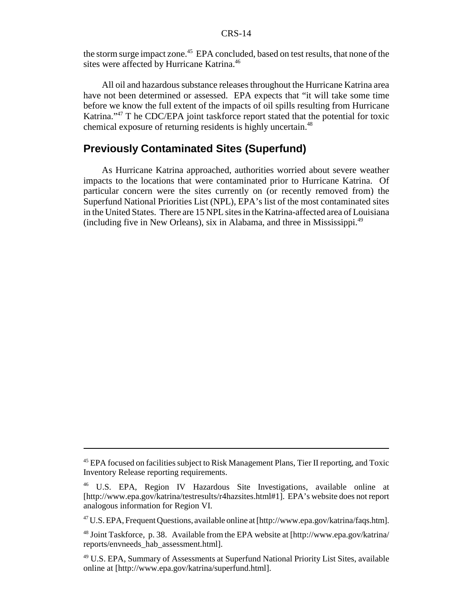the storm surge impact zone.<sup>45</sup> EPA concluded, based on test results, that none of the sites were affected by Hurricane Katrina.<sup>46</sup>

All oil and hazardous substance releases throughout the Hurricane Katrina area have not been determined or assessed. EPA expects that "it will take some time before we know the full extent of the impacts of oil spills resulting from Hurricane Katrina."<sup>47</sup> T he CDC/EPA joint taskforce report stated that the potential for toxic chemical exposure of returning residents is highly uncertain.<sup>48</sup>

### **Previously Contaminated Sites (Superfund)**

As Hurricane Katrina approached, authorities worried about severe weather impacts to the locations that were contaminated prior to Hurricane Katrina. Of particular concern were the sites currently on (or recently removed from) the Superfund National Priorities List (NPL), EPA's list of the most contaminated sites in the United States. There are 15 NPL sites in the Katrina-affected area of Louisiana (including five in New Orleans), six in Alabama, and three in Mississippi.49

<sup>&</sup>lt;sup>45</sup> EPA focused on facilities subject to Risk Management Plans, Tier II reporting, and Toxic Inventory Release reporting requirements.

<sup>46</sup> U.S. EPA, Region IV Hazardous Site Investigations, available online at [http://www.epa.gov/katrina/testresults/r4hazsites.html#1]. EPA's website does not report analogous information for Region VI.

<sup>47</sup> U.S. EPA, Frequent Questions, available online at [http://www.epa.gov/katrina/faqs.htm].

<sup>48</sup> Joint Taskforce, p. 38. Available from the EPA website at [http://www.epa.gov/katrina/ reports/envneeds\_hab\_assessment.html].

<sup>49</sup> U.S. EPA, Summary of Assessments at Superfund National Priority List Sites, available online at [http://www.epa.gov/katrina/superfund.html].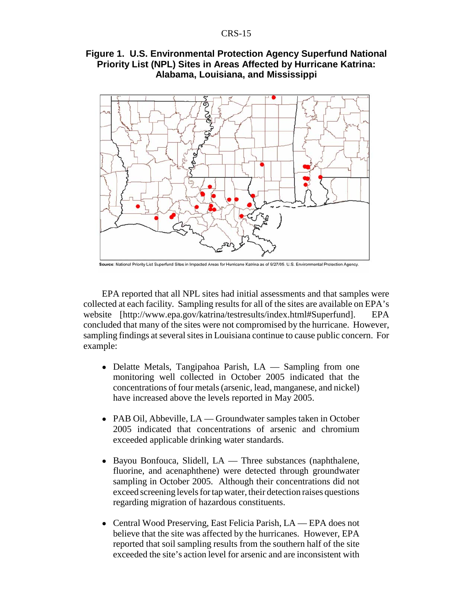#### **Figure 1. U.S. Environmental Protection Agency Superfund National Priority List (NPL) Sites in Areas Affected by Hurricane Katrina: Alabama, Louisiana, and Mississippi**



Source: National Priority List Superfund Sites in Impacted Areas for Hurricane Katrina as of 9/27/05. U.S. Environmental Protection Agency.

EPA reported that all NPL sites had initial assessments and that samples were collected at each facility. Sampling results for all of the sites are available on EPA's website [http://www.epa.gov/katrina/testresults/index.html#Superfund]. EPA concluded that many of the sites were not compromised by the hurricane. However, sampling findings at several sites in Louisiana continue to cause public concern. For example:

- Delatte Metals, Tangipahoa Parish, LA Sampling from one monitoring well collected in October 2005 indicated that the concentrations of four metals (arsenic, lead, manganese, and nickel) have increased above the levels reported in May 2005.
- PAB Oil, Abbeville, LA Groundwater samples taken in October 2005 indicated that concentrations of arsenic and chromium exceeded applicable drinking water standards.
- Bayou Bonfouca, Slidell, LA Three substances (naphthalene, fluorine, and acenaphthene) were detected through groundwater sampling in October 2005. Although their concentrations did not exceed screening levels for tap water, their detection raises questions regarding migration of hazardous constituents.
- Central Wood Preserving, East Felicia Parish, LA EPA does not believe that the site was affected by the hurricanes. However, EPA reported that soil sampling results from the southern half of the site exceeded the site's action level for arsenic and are inconsistent with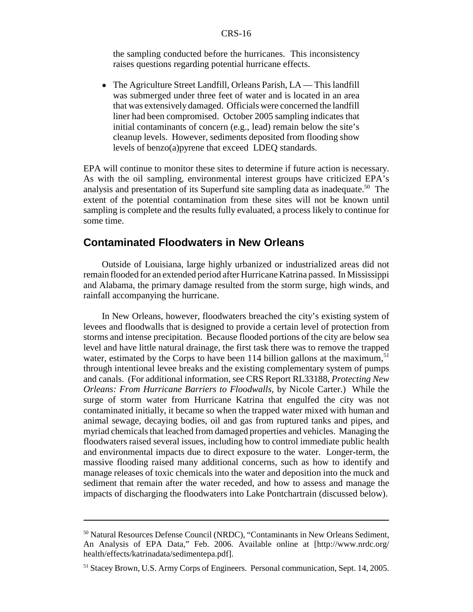the sampling conducted before the hurricanes. This inconsistency raises questions regarding potential hurricane effects.

• The Agriculture Street Landfill, Orleans Parish, LA — This landfill was submerged under three feet of water and is located in an area that was extensively damaged. Officials were concerned the landfill liner had been compromised. October 2005 sampling indicates that initial contaminants of concern (e.g., lead) remain below the site's cleanup levels. However, sediments deposited from flooding show levels of benzo(a)pyrene that exceed LDEQ standards.

EPA will continue to monitor these sites to determine if future action is necessary. As with the oil sampling, environmental interest groups have criticized EPA's analysis and presentation of its Superfund site sampling data as inadequate.<sup>50</sup> The extent of the potential contamination from these sites will not be known until sampling is complete and the results fully evaluated, a process likely to continue for some time.

#### **Contaminated Floodwaters in New Orleans**

Outside of Louisiana, large highly urbanized or industrialized areas did not remain flooded for an extended period after Hurricane Katrina passed. In Mississippi and Alabama, the primary damage resulted from the storm surge, high winds, and rainfall accompanying the hurricane.

In New Orleans, however, floodwaters breached the city's existing system of levees and floodwalls that is designed to provide a certain level of protection from storms and intense precipitation. Because flooded portions of the city are below sea level and have little natural drainage, the first task there was to remove the trapped water, estimated by the Corps to have been 114 billion gallons at the maximum,  $51$ through intentional levee breaks and the existing complementary system of pumps and canals. (For additional information, see CRS Report RL33188, *Protecting New Orleans: From Hurricane Barriers to Floodwalls*, by Nicole Carter.) While the surge of storm water from Hurricane Katrina that engulfed the city was not contaminated initially, it became so when the trapped water mixed with human and animal sewage, decaying bodies, oil and gas from ruptured tanks and pipes, and myriad chemicals that leached from damaged properties and vehicles. Managing the floodwaters raised several issues, including how to control immediate public health and environmental impacts due to direct exposure to the water. Longer-term, the massive flooding raised many additional concerns, such as how to identify and manage releases of toxic chemicals into the water and deposition into the muck and sediment that remain after the water receded, and how to assess and manage the impacts of discharging the floodwaters into Lake Pontchartrain (discussed below).

<sup>50</sup> Natural Resources Defense Council (NRDC), "Contaminants in New Orleans Sediment, An Analysis of EPA Data," Feb. 2006. Available online at [http://www.nrdc.org/ health/effects/katrinadata/sedimentepa.pdf].

<sup>&</sup>lt;sup>51</sup> Stacey Brown, U.S. Army Corps of Engineers. Personal communication, Sept. 14, 2005.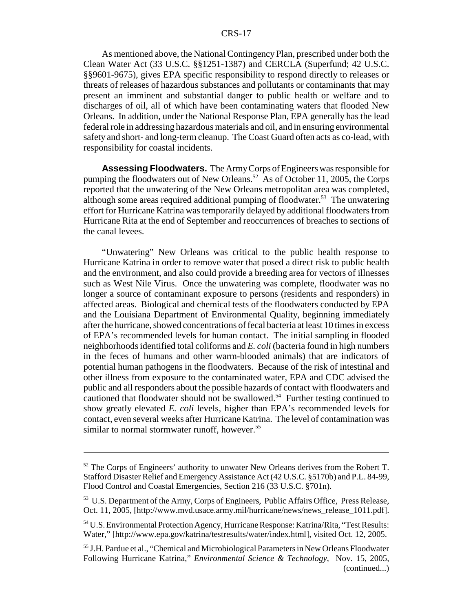As mentioned above, the National Contingency Plan, prescribed under both the Clean Water Act (33 U.S.C. §§1251-1387) and CERCLA (Superfund; 42 U.S.C. §§9601-9675), gives EPA specific responsibility to respond directly to releases or threats of releases of hazardous substances and pollutants or contaminants that may present an imminent and substantial danger to public health or welfare and to discharges of oil, all of which have been contaminating waters that flooded New Orleans. In addition, under the National Response Plan, EPA generally has the lead federal role in addressing hazardous materials and oil, and in ensuring environmental safety and short- and long-term cleanup. The Coast Guard often acts as co-lead, with responsibility for coastal incidents.

**Assessing Floodwaters.** The Army Corps of Engineers was responsible for pumping the floodwaters out of New Orleans.<sup>52</sup> As of October 11, 2005, the Corps reported that the unwatering of the New Orleans metropolitan area was completed, although some areas required additional pumping of floodwater.<sup>53</sup> The unwatering effort for Hurricane Katrina was temporarily delayed by additional floodwaters from Hurricane Rita at the end of September and reoccurrences of breaches to sections of the canal levees.

"Unwatering" New Orleans was critical to the public health response to Hurricane Katrina in order to remove water that posed a direct risk to public health and the environment, and also could provide a breeding area for vectors of illnesses such as West Nile Virus. Once the unwatering was complete, floodwater was no longer a source of contaminant exposure to persons (residents and responders) in affected areas. Biological and chemical tests of the floodwaters conducted by EPA and the Louisiana Department of Environmental Quality, beginning immediately after the hurricane, showed concentrations of fecal bacteria at least 10 times in excess of EPA's recommended levels for human contact. The initial sampling in flooded neighborhoods identified total coliforms and *E. coli* (bacteria found in high numbers in the feces of humans and other warm-blooded animals) that are indicators of potential human pathogens in the floodwaters. Because of the risk of intestinal and other illness from exposure to the contaminated water, EPA and CDC advised the public and all responders about the possible hazards of contact with floodwaters and cautioned that floodwater should not be swallowed.<sup>54</sup> Further testing continued to show greatly elevated *E. coli* levels, higher than EPA's recommended levels for contact, even several weeks after Hurricane Katrina. The level of contamination was similar to normal stormwater runoff, however.<sup>55</sup>

<sup>&</sup>lt;sup>52</sup> The Corps of Engineers' authority to unwater New Orleans derives from the Robert T. Stafford Disaster Relief and Emergency Assistance Act (42 U.S.C. §5170b) and P.L. 84-99, Flood Control and Coastal Emergencies, Section 216 (33 U.S.C. §701n).

<sup>&</sup>lt;sup>53</sup> U.S. Department of the Army, Corps of Engineers, Public Affairs Office, Press Release, Oct. 11, 2005, [http://www.mvd.usace.army.mil/hurricane/news/news\_release\_1011.pdf].

<sup>54</sup> U.S. Environmental Protection Agency, Hurricane Response: Katrina/Rita, "Test Results: Water," [http://www.epa.gov/katrina/testresults/water/index.html], visited Oct. 12, 2005.

<sup>55</sup> J.H. Pardue et al., "Chemical and Microbiological Parameters in New Orleans Floodwater Following Hurricane Katrina," *Environmental Science & Technology*, Nov. 15, 2005, (continued...)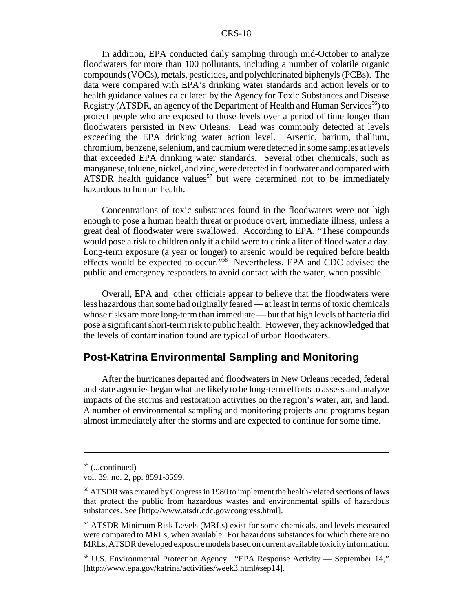In addition, EPA conducted daily sampling through mid-October to analyze floodwaters for more than 100 pollutants, including a number of volatile organic compounds (VOCs), metals, pesticides, and polychlorinated biphenyls (PCBs). The data were compared with EPA's drinking water standards and action levels or to health guidance values calculated by the Agency for Toxic Substances and Disease Registry (ATSDR, an agency of the Department of Health and Human Services<sup>56</sup>) to protect people who are exposed to those levels over a period of time longer than floodwaters persisted in New Orleans. Lead was commonly detected at levels exceeding the EPA drinking water action level. Arsenic, barium, thallium, chromium, benzene, selenium, and cadmium were detected in some samples at levels that exceeded EPA drinking water standards. Several other chemicals, such as manganese, toluene, nickel, and zinc, were detected in floodwater and compared with ATSDR health guidance values<sup>57</sup> but were determined not to be immediately hazardous to human health.

Concentrations of toxic substances found in the floodwaters were not high enough to pose a human health threat or produce overt, immediate illness, unless a great deal of floodwater were swallowed. According to EPA, "These compounds would pose a risk to children only if a child were to drink a liter of flood water a day. Long-term exposure (a year or longer) to arsenic would be required before health effects would be expected to occur."58 Nevertheless, EPA and CDC advised the public and emergency responders to avoid contact with the water, when possible.

Overall, EPA and other officials appear to believe that the floodwaters were less hazardous than some had originally feared — at least in terms of toxic chemicals whose risks are more long-term than immediate — but that high levels of bacteria did pose a significant short-term risk to public health. However, they acknowledged that the levels of contamination found are typical of urban floodwaters.

#### **Post-Katrina Environmental Sampling and Monitoring**

After the hurricanes departed and floodwaters in New Orleans receded, federal and state agencies began what are likely to be long-term efforts to assess and analyze impacts of the storms and restoration activities on the region's water, air, and land. A number of environmental sampling and monitoring projects and programs began almost immediately after the storms and are expected to continue for some time.

 $55$  (...continued)

vol. 39, no. 2, pp. 8591-8599.

<sup>&</sup>lt;sup>56</sup> ATSDR was created by Congress in 1980 to implement the health-related sections of laws that protect the public from hazardous wastes and environmental spills of hazardous substances. See [http://www.atsdr.cdc.gov/congress.html].

<sup>57</sup> ATSDR Minimum Risk Levels (MRLs) exist for some chemicals, and levels measured were compared to MRLs, when available. For hazardous substances for which there are no MRLs, ATSDR developed exposure models based on current available toxicity information.

<sup>58</sup> U.S. Environmental Protection Agency. "EPA Response Activity — September 14," [http://www.epa.gov/katrina/activities/week3.html#sep14].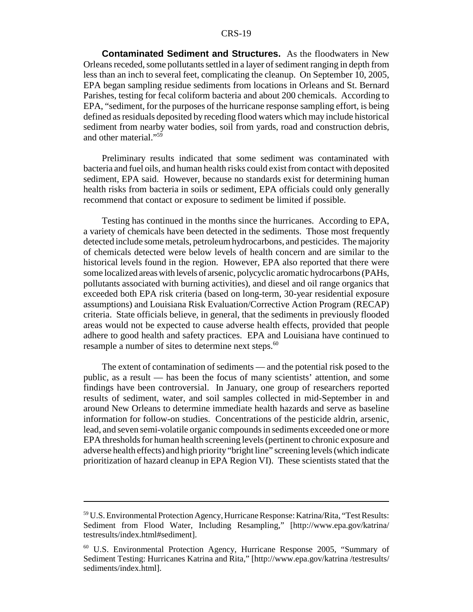**Contaminated Sediment and Structures.** As the floodwaters in New Orleans receded, some pollutants settled in a layer of sediment ranging in depth from less than an inch to several feet, complicating the cleanup. On September 10, 2005, EPA began sampling residue sediments from locations in Orleans and St. Bernard Parishes, testing for fecal coliform bacteria and about 200 chemicals. According to EPA, "sediment, for the purposes of the hurricane response sampling effort, is being defined as residuals deposited by receding flood waters which may include historical sediment from nearby water bodies, soil from yards, road and construction debris, and other material."<sup>59</sup>

Preliminary results indicated that some sediment was contaminated with bacteria and fuel oils, and human health risks could exist from contact with deposited sediment, EPA said. However, because no standards exist for determining human health risks from bacteria in soils or sediment, EPA officials could only generally recommend that contact or exposure to sediment be limited if possible.

Testing has continued in the months since the hurricanes. According to EPA, a variety of chemicals have been detected in the sediments. Those most frequently detected include some metals, petroleum hydrocarbons, and pesticides. The majority of chemicals detected were below levels of health concern and are similar to the historical levels found in the region. However, EPA also reported that there were some localized areas with levels of arsenic, polycyclic aromatic hydrocarbons (PAHs, pollutants associated with burning activities), and diesel and oil range organics that exceeded both EPA risk criteria (based on long-term, 30-year residential exposure assumptions) and Louisiana Risk Evaluation/Corrective Action Program (RECAP) criteria. State officials believe, in general, that the sediments in previously flooded areas would not be expected to cause adverse health effects, provided that people adhere to good health and safety practices. EPA and Louisiana have continued to resample a number of sites to determine next steps.<sup>60</sup>

The extent of contamination of sediments — and the potential risk posed to the public, as a result — has been the focus of many scientists' attention, and some findings have been controversial. In January, one group of researchers reported results of sediment, water, and soil samples collected in mid-September in and around New Orleans to determine immediate health hazards and serve as baseline information for follow-on studies. Concentrations of the pesticide aldrin, arsenic, lead, and seven semi-volatile organic compounds in sediments exceeded one or more EPA thresholds for human health screening levels (pertinent to chronic exposure and adverse health effects) and high priority "bright line" screening levels (which indicate prioritization of hazard cleanup in EPA Region VI). These scientists stated that the

<sup>59</sup> U.S. Environmental Protection Agency, Hurricane Response: Katrina/Rita, "Test Results: Sediment from Flood Water, Including Resampling," [http://www.epa.gov/katrina/ testresults/index.html#sediment].

<sup>60</sup> U.S. Environmental Protection Agency, Hurricane Response 2005, "Summary of Sediment Testing: Hurricanes Katrina and Rita," [http://www.epa.gov/katrina /testresults/ sediments/index.html].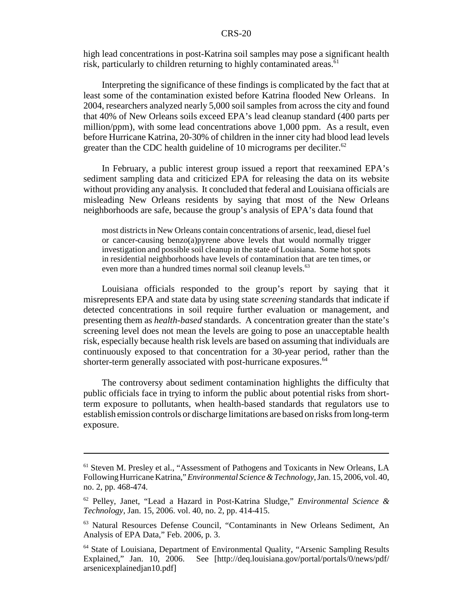high lead concentrations in post-Katrina soil samples may pose a significant health risk, particularly to children returning to highly contaminated areas.<sup>61</sup>

Interpreting the significance of these findings is complicated by the fact that at least some of the contamination existed before Katrina flooded New Orleans. In 2004, researchers analyzed nearly 5,000 soil samples from across the city and found that 40% of New Orleans soils exceed EPA's lead cleanup standard (400 parts per million/ppm), with some lead concentrations above 1,000 ppm. As a result, even before Hurricane Katrina, 20-30% of children in the inner city had blood lead levels greater than the CDC health guideline of 10 micrograms per deciliter.<sup>62</sup>

In February, a public interest group issued a report that reexamined EPA's sediment sampling data and criticized EPA for releasing the data on its website without providing any analysis. It concluded that federal and Louisiana officials are misleading New Orleans residents by saying that most of the New Orleans neighborhoods are safe, because the group's analysis of EPA's data found that

most districts in New Orleans contain concentrations of arsenic, lead, diesel fuel or cancer-causing benzo(a)pyrene above levels that would normally trigger investigation and possible soil cleanup in the state of Louisiana. Some hot spots in residential neighborhoods have levels of contamination that are ten times, or even more than a hundred times normal soil cleanup levels.<sup>63</sup>

Louisiana officials responded to the group's report by saying that it misrepresents EPA and state data by using state *screening* standards that indicate if detected concentrations in soil require further evaluation or management, and presenting them as *health-based* standards. A concentration greater than the state's screening level does not mean the levels are going to pose an unacceptable health risk, especially because health risk levels are based on assuming that individuals are continuously exposed to that concentration for a 30-year period, rather than the shorter-term generally associated with post-hurricane exposures.<sup>64</sup>

The controversy about sediment contamination highlights the difficulty that public officials face in trying to inform the public about potential risks from shortterm exposure to pollutants, when health-based standards that regulators use to establish emission controls or discharge limitations are based on risks from long-term exposure.

<sup>61</sup> Steven M. Presley et al., "Assessment of Pathogens and Toxicants in New Orleans, LA Following Hurricane Katrina," *Environmental Science & Technology*, Jan. 15, 2006, vol. 40, no. 2, pp. 468-474.

<sup>62</sup> Pelley, Janet, "Lead a Hazard in Post-Katrina Sludge," *Environmental Science & Technology*, Jan. 15, 2006. vol. 40, no. 2, pp. 414-415.

<sup>63</sup> Natural Resources Defense Council, "Contaminants in New Orleans Sediment, An Analysis of EPA Data," Feb. 2006, p. 3.

<sup>64</sup> State of Louisiana, Department of Environmental Quality, "Arsenic Sampling Results Explained," Jan. 10, 2006. See [http://deq.louisiana.gov/portal/portals/0/news/pdf/ arsenicexplainedjan10.pdf]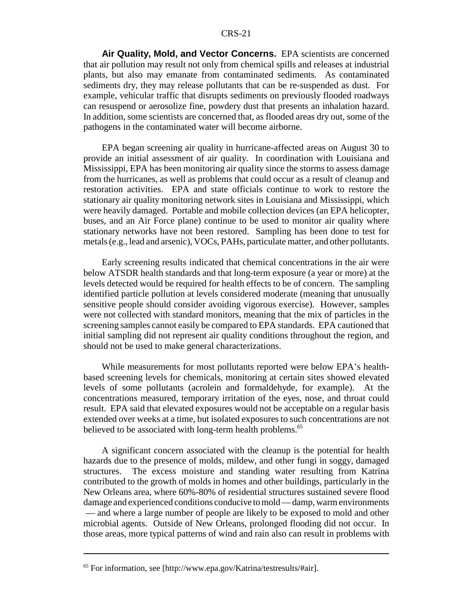**Air Quality, Mold, and Vector Concerns.** EPA scientists are concerned that air pollution may result not only from chemical spills and releases at industrial plants, but also may emanate from contaminated sediments. As contaminated sediments dry, they may release pollutants that can be re-suspended as dust. For example, vehicular traffic that disrupts sediments on previously flooded roadways can resuspend or aerosolize fine, powdery dust that presents an inhalation hazard. In addition, some scientists are concerned that, as flooded areas dry out, some of the pathogens in the contaminated water will become airborne.

EPA began screening air quality in hurricane-affected areas on August 30 to provide an initial assessment of air quality. In coordination with Louisiana and Mississippi, EPA has been monitoring air quality since the storms to assess damage from the hurricanes, as well as problems that could occur as a result of cleanup and restoration activities. EPA and state officials continue to work to restore the stationary air quality monitoring network sites in Louisiana and Mississippi, which were heavily damaged. Portable and mobile collection devices (an EPA helicopter, buses, and an Air Force plane) continue to be used to monitor air quality where stationary networks have not been restored. Sampling has been done to test for metals (e.g., lead and arsenic), VOCs, PAHs, particulate matter, and other pollutants.

Early screening results indicated that chemical concentrations in the air were below ATSDR health standards and that long-term exposure (a year or more) at the levels detected would be required for health effects to be of concern. The sampling identified particle pollution at levels considered moderate (meaning that unusually sensitive people should consider avoiding vigorous exercise). However, samples were not collected with standard monitors, meaning that the mix of particles in the screening samples cannot easily be compared to EPA standards. EPA cautioned that initial sampling did not represent air quality conditions throughout the region, and should not be used to make general characterizations.

While measurements for most pollutants reported were below EPA's healthbased screening levels for chemicals, monitoring at certain sites showed elevated levels of some pollutants (acrolein and formaldehyde, for example). At the concentrations measured, temporary irritation of the eyes, nose, and throat could result. EPA said that elevated exposures would not be acceptable on a regular basis extended over weeks at a time, but isolated exposures to such concentrations are not believed to be associated with long-term health problems.<sup>65</sup>

A significant concern associated with the cleanup is the potential for health hazards due to the presence of molds, mildew, and other fungi in soggy, damaged structures. The excess moisture and standing water resulting from Katrina contributed to the growth of molds in homes and other buildings, particularly in the New Orleans area, where 60%-80% of residential structures sustained severe flood damage and experienced conditions conducive to mold — damp, warm environments — and where a large number of people are likely to be exposed to mold and other microbial agents. Outside of New Orleans, prolonged flooding did not occur. In those areas, more typical patterns of wind and rain also can result in problems with

<sup>65</sup> For information, see [http://www.epa.gov/Katrina/testresults/#air].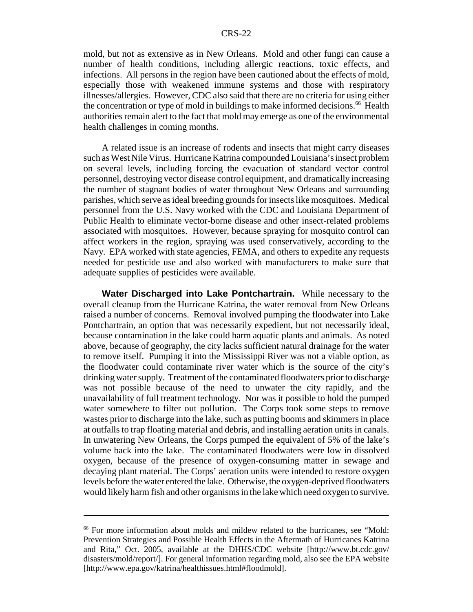mold, but not as extensive as in New Orleans. Mold and other fungi can cause a number of health conditions, including allergic reactions, toxic effects, and infections. All persons in the region have been cautioned about the effects of mold, especially those with weakened immune systems and those with respiratory illnesses/allergies. However, CDC also said that there are no criteria for using either the concentration or type of mold in buildings to make informed decisions.<sup>66</sup> Health authorities remain alert to the fact that mold may emerge as one of the environmental health challenges in coming months.

A related issue is an increase of rodents and insects that might carry diseases such as West Nile Virus. Hurricane Katrina compounded Louisiana's insect problem on several levels, including forcing the evacuation of standard vector control personnel, destroying vector disease control equipment, and dramatically increasing the number of stagnant bodies of water throughout New Orleans and surrounding parishes, which serve as ideal breeding grounds for insects like mosquitoes. Medical personnel from the U.S. Navy worked with the CDC and Louisiana Department of Public Health to eliminate vector-borne disease and other insect-related problems associated with mosquitoes. However, because spraying for mosquito control can affect workers in the region, spraying was used conservatively, according to the Navy. EPA worked with state agencies, FEMA, and others to expedite any requests needed for pesticide use and also worked with manufacturers to make sure that adequate supplies of pesticides were available.

**Water Discharged into Lake Pontchartrain.** While necessary to the overall cleanup from the Hurricane Katrina, the water removal from New Orleans raised a number of concerns. Removal involved pumping the floodwater into Lake Pontchartrain, an option that was necessarily expedient, but not necessarily ideal, because contamination in the lake could harm aquatic plants and animals. As noted above, because of geography, the city lacks sufficient natural drainage for the water to remove itself. Pumping it into the Mississippi River was not a viable option, as the floodwater could contaminate river water which is the source of the city's drinking water supply. Treatment of the contaminated floodwaters prior to discharge was not possible because of the need to unwater the city rapidly, and the unavailability of full treatment technology. Nor was it possible to hold the pumped water somewhere to filter out pollution. The Corps took some steps to remove wastes prior to discharge into the lake, such as putting booms and skimmers in place at outfalls to trap floating material and debris, and installing aeration units in canals. In unwatering New Orleans, the Corps pumped the equivalent of 5% of the lake's volume back into the lake. The contaminated floodwaters were low in dissolved oxygen, because of the presence of oxygen-consuming matter in sewage and decaying plant material. The Corps' aeration units were intended to restore oxygen levels before the water entered the lake. Otherwise, the oxygen-deprived floodwaters would likely harm fish and other organisms in the lake which need oxygen to survive.

<sup>66</sup> For more information about molds and mildew related to the hurricanes, see "Mold: Prevention Strategies and Possible Health Effects in the Aftermath of Hurricanes Katrina and Rita," Oct. 2005, available at the DHHS/CDC website [http://www.bt.cdc.gov/ disasters/mold/report/]. For general information regarding mold, also see the EPA website [http://www.epa.gov/katrina/healthissues.html#floodmold].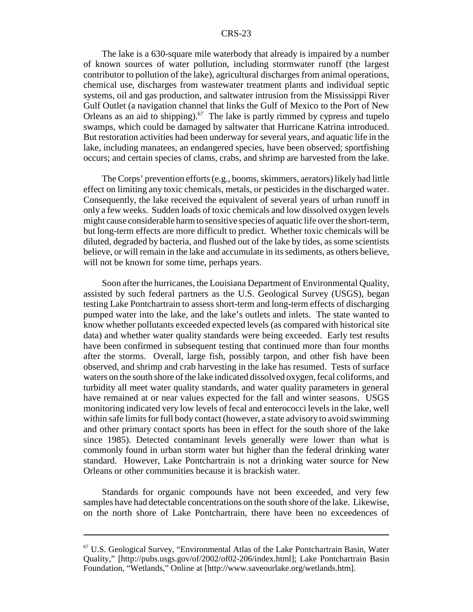The lake is a 630-square mile waterbody that already is impaired by a number of known sources of water pollution, including stormwater runoff (the largest contributor to pollution of the lake), agricultural discharges from animal operations, chemical use, discharges from wastewater treatment plants and individual septic systems, oil and gas production, and saltwater intrusion from the Mississippi River Gulf Outlet (a navigation channel that links the Gulf of Mexico to the Port of New Orleans as an aid to shipping).<sup>67</sup> The lake is partly rimmed by cypress and tupelo swamps, which could be damaged by saltwater that Hurricane Katrina introduced. But restoration activities had been underway for several years, and aquatic life in the lake, including manatees, an endangered species, have been observed; sportfishing occurs; and certain species of clams, crabs, and shrimp are harvested from the lake.

The Corps' prevention efforts (e.g., booms, skimmers, aerators) likely had little effect on limiting any toxic chemicals, metals, or pesticides in the discharged water. Consequently, the lake received the equivalent of several years of urban runoff in only a few weeks. Sudden loads of toxic chemicals and low dissolved oxygen levels might cause considerable harm to sensitive species of aquatic life over the short-term, but long-term effects are more difficult to predict. Whether toxic chemicals will be diluted, degraded by bacteria, and flushed out of the lake by tides, as some scientists believe, or will remain in the lake and accumulate in its sediments, as others believe, will not be known for some time, perhaps years.

Soon after the hurricanes, the Louisiana Department of Environmental Quality, assisted by such federal partners as the U.S. Geological Survey (USGS), began testing Lake Pontchartrain to assess short-term and long-term effects of discharging pumped water into the lake, and the lake's outlets and inlets. The state wanted to know whether pollutants exceeded expected levels (as compared with historical site data) and whether water quality standards were being exceeded. Early test results have been confirmed in subsequent testing that continued more than four months after the storms. Overall, large fish, possibly tarpon, and other fish have been observed, and shrimp and crab harvesting in the lake has resumed. Tests of surface waters on the south shore of the lake indicated dissolved oxygen, fecal coliforms, and turbidity all meet water quality standards, and water quality parameters in general have remained at or near values expected for the fall and winter seasons. USGS monitoring indicated very low levels of fecal and enterococci levels in the lake, well within safe limits for full body contact (however, a state advisory to avoid swimming and other primary contact sports has been in effect for the south shore of the lake since 1985). Detected contaminant levels generally were lower than what is commonly found in urban storm water but higher than the federal drinking water standard. However, Lake Pontchartrain is not a drinking water source for New Orleans or other communities because it is brackish water.

Standards for organic compounds have not been exceeded, and very few samples have had detectable concentrations on the south shore of the lake. Likewise, on the north shore of Lake Pontchartrain, there have been no exceedences of

<sup>67</sup> U.S. Geological Survey, "Environmental Atlas of the Lake Pontchartrain Basin, Water Quality," [http://pubs.usgs.gov/of/2002/of02-206/index.html]; Lake Pontchartrain Basin Foundation, "Wetlands," Online at [http://www.saveourlake.org/wetlands.htm].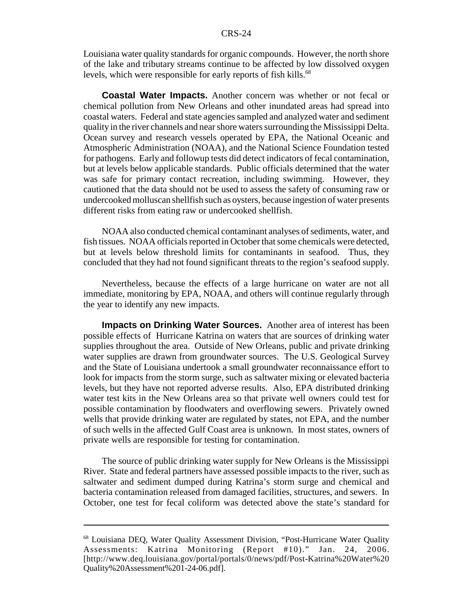Louisiana water quality standards for organic compounds. However, the north shore of the lake and tributary streams continue to be affected by low dissolved oxygen levels, which were responsible for early reports of fish kills.<sup>68</sup>

**Coastal Water Impacts.** Another concern was whether or not fecal or chemical pollution from New Orleans and other inundated areas had spread into coastal waters. Federal and state agencies sampled and analyzed water and sediment quality in the river channels and near shore waters surrounding the Mississippi Delta. Ocean survey and research vessels operated by EPA, the National Oceanic and Atmospheric Administration (NOAA), and the National Science Foundation tested for pathogens. Early and followup tests did detect indicators of fecal contamination, but at levels below applicable standards. Public officials determined that the water was safe for primary contact recreation, including swimming. However, they cautioned that the data should not be used to assess the safety of consuming raw or undercooked molluscan shellfish such as oysters, because ingestion of water presents different risks from eating raw or undercooked shellfish.

NOAA also conducted chemical contaminant analyses of sediments, water, and fish tissues. NOAA officials reported in October that some chemicals were detected, but at levels below threshold limits for contaminants in seafood. Thus, they concluded that they had not found significant threats to the region's seafood supply.

Nevertheless, because the effects of a large hurricane on water are not all immediate, monitoring by EPA, NOAA, and others will continue regularly through the year to identify any new impacts.

**Impacts on Drinking Water Sources.** Another area of interest has been possible effects of Hurricane Katrina on waters that are sources of drinking water supplies throughout the area. Outside of New Orleans, public and private drinking water supplies are drawn from groundwater sources. The U.S. Geological Survey and the State of Louisiana undertook a small groundwater reconnaissance effort to look for impacts from the storm surge, such as saltwater mixing or elevated bacteria levels, but they have not reported adverse results. Also, EPA distributed drinking water test kits in the New Orleans area so that private well owners could test for possible contamination by floodwaters and overflowing sewers. Privately owned wells that provide drinking water are regulated by states, not EPA, and the number of such wells in the affected Gulf Coast area is unknown. In most states, owners of private wells are responsible for testing for contamination.

The source of public drinking water supply for New Orleans is the Mississippi River. State and federal partners have assessed possible impacts to the river, such as saltwater and sediment dumped during Katrina's storm surge and chemical and bacteria contamination released from damaged facilities, structures, and sewers. In October, one test for fecal coliform was detected above the state's standard for

<sup>68</sup> Louisiana DEQ, Water Quality Assessment Division, "Post-Hurricane Water Quality Assessments: Katrina Monitoring (Report #10)." Jan. 24, 2006. [http://www.deq.louisiana.gov/portal/portals/0/news/pdf/Post-Katrina%20Water%20 Quality%20Assessment%201-24-06.pdf].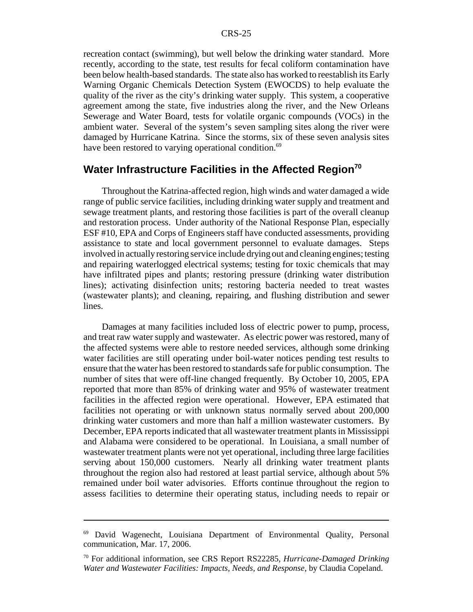recreation contact (swimming), but well below the drinking water standard. More recently, according to the state, test results for fecal coliform contamination have been below health-based standards. The state also has worked to reestablish its Early Warning Organic Chemicals Detection System (EWOCDS) to help evaluate the quality of the river as the city's drinking water supply. This system, a cooperative agreement among the state, five industries along the river, and the New Orleans Sewerage and Water Board, tests for volatile organic compounds (VOCs) in the ambient water. Several of the system's seven sampling sites along the river were damaged by Hurricane Katrina. Since the storms, six of these seven analysis sites have been restored to varying operational condition.<sup>69</sup>

### Water Infrastructure Facilities in the Affected Region<sup>70</sup>

Throughout the Katrina-affected region, high winds and water damaged a wide range of public service facilities, including drinking water supply and treatment and sewage treatment plants, and restoring those facilities is part of the overall cleanup and restoration process. Under authority of the National Response Plan, especially ESF #10, EPA and Corps of Engineers staff have conducted assessments, providing assistance to state and local government personnel to evaluate damages. Steps involved in actually restoring service include drying out and cleaning engines; testing and repairing waterlogged electrical systems; testing for toxic chemicals that may have infiltrated pipes and plants; restoring pressure (drinking water distribution lines); activating disinfection units; restoring bacteria needed to treat wastes (wastewater plants); and cleaning, repairing, and flushing distribution and sewer lines.

Damages at many facilities included loss of electric power to pump, process, and treat raw water supply and wastewater. As electric power was restored, many of the affected systems were able to restore needed services, although some drinking water facilities are still operating under boil-water notices pending test results to ensure that the water has been restored to standards safe for public consumption. The number of sites that were off-line changed frequently. By October 10, 2005, EPA reported that more than 85% of drinking water and 95% of wastewater treatment facilities in the affected region were operational. However, EPA estimated that facilities not operating or with unknown status normally served about 200,000 drinking water customers and more than half a million wastewater customers. By December, EPA reports indicated that all wastewater treatment plants in Mississippi and Alabama were considered to be operational. In Louisiana, a small number of wastewater treatment plants were not yet operational, including three large facilities serving about 150,000 customers. Nearly all drinking water treatment plants throughout the region also had restored at least partial service, although about 5% remained under boil water advisories. Efforts continue throughout the region to assess facilities to determine their operating status, including needs to repair or

<sup>69</sup> David Wagenecht, Louisiana Department of Environmental Quality, Personal communication, Mar. 17, 2006.

<sup>70</sup> For additional information, see CRS Report RS22285, *Hurricane-Damaged Drinking Water and Wastewater Facilities: Impacts, Needs, and Response*, by Claudia Copeland.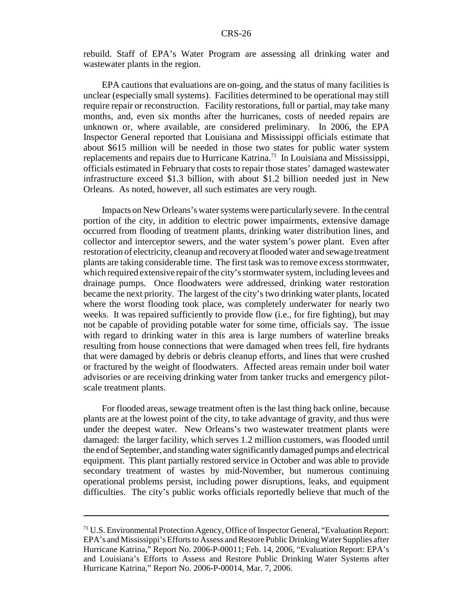rebuild. Staff of EPA's Water Program are assessing all drinking water and wastewater plants in the region.

EPA cautions that evaluations are on-going, and the status of many facilities is unclear (especially small systems). Facilities determined to be operational may still require repair or reconstruction. Facility restorations, full or partial, may take many months, and, even six months after the hurricanes, costs of needed repairs are unknown or, where available, are considered preliminary. In 2006, the EPA Inspector General reported that Louisiana and Mississippi officials estimate that about \$615 million will be needed in those two states for public water system replacements and repairs due to Hurricane Katrina.<sup>71</sup> In Louisiana and Mississippi, officials estimated in February that costs to repair those states' damaged wastewater infrastructure exceed \$1.3 billion, with about \$1.2 billion needed just in New Orleans. As noted, however, all such estimates are very rough.

Impacts on New Orleans's water systems were particularly severe. In the central portion of the city, in addition to electric power impairments, extensive damage occurred from flooding of treatment plants, drinking water distribution lines, and collector and interceptor sewers, and the water system's power plant. Even after restoration of electricity, cleanup and recovery at flooded water and sewage treatment plants are taking considerable time. The first task was to remove excess stormwater, which required extensive repair of the city's stormwater system, including levees and drainage pumps. Once floodwaters were addressed, drinking water restoration became the next priority. The largest of the city's two drinking water plants, located where the worst flooding took place, was completely underwater for nearly two weeks. It was repaired sufficiently to provide flow (i.e., for fire fighting), but may not be capable of providing potable water for some time, officials say. The issue with regard to drinking water in this area is large numbers of waterline breaks resulting from house connections that were damaged when trees fell, fire hydrants that were damaged by debris or debris cleanup efforts, and lines that were crushed or fractured by the weight of floodwaters. Affected areas remain under boil water advisories or are receiving drinking water from tanker trucks and emergency pilotscale treatment plants.

For flooded areas, sewage treatment often is the last thing back online, because plants are at the lowest point of the city, to take advantage of gravity, and thus were under the deepest water. New Orleans's two wastewater treatment plants were damaged: the larger facility, which serves 1.2 million customers, was flooded until the end of September, and standing water significantly damaged pumps and electrical equipment. This plant partially restored service in October and was able to provide secondary treatment of wastes by mid-November, but numerous continuing operational problems persist, including power disruptions, leaks, and equipment difficulties. The city's public works officials reportedly believe that much of the

<sup>71</sup> U.S. Environmental Protection Agency, Office of Inspector General, "Evaluation Report: EPA's and Mississippi's Efforts to Assess and Restore Public Drinking Water Supplies after Hurricane Katrina," Report No. 2006-P-00011; Feb. 14, 2006, "Evaluation Report: EPA's and Louisiana's Efforts to Assess and Restore Public Drinking Water Systems after Hurricane Katrina," Report No. 2006-P-00014, Mar. 7, 2006.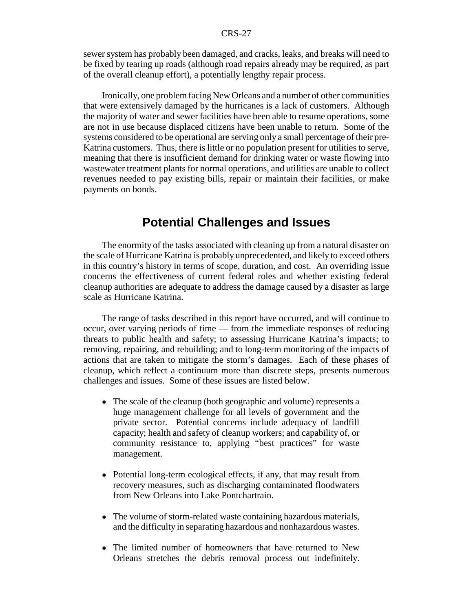sewer system has probably been damaged, and cracks, leaks, and breaks will need to be fixed by tearing up roads (although road repairs already may be required, as part of the overall cleanup effort), a potentially lengthy repair process.

Ironically, one problem facing New Orleans and a number of other communities that were extensively damaged by the hurricanes is a lack of customers. Although the majority of water and sewer facilities have been able to resume operations, some are not in use because displaced citizens have been unable to return. Some of the systems considered to be operational are serving only a small percentage of their pre-Katrina customers. Thus, there is little or no population present for utilities to serve, meaning that there is insufficient demand for drinking water or waste flowing into wastewater treatment plants for normal operations, and utilities are unable to collect revenues needed to pay existing bills, repair or maintain their facilities, or make payments on bonds.

## **Potential Challenges and Issues**

The enormity of the tasks associated with cleaning up from a natural disaster on the scale of Hurricane Katrina is probably unprecedented, and likely to exceed others in this country's history in terms of scope, duration, and cost. An overriding issue concerns the effectiveness of current federal roles and whether existing federal cleanup authorities are adequate to address the damage caused by a disaster as large scale as Hurricane Katrina.

The range of tasks described in this report have occurred, and will continue to occur, over varying periods of time — from the immediate responses of reducing threats to public health and safety; to assessing Hurricane Katrina's impacts; to removing, repairing, and rebuilding; and to long-term monitoring of the impacts of actions that are taken to mitigate the storm's damages. Each of these phases of cleanup, which reflect a continuum more than discrete steps, presents numerous challenges and issues. Some of these issues are listed below.

- The scale of the cleanup (both geographic and volume) represents a huge management challenge for all levels of government and the private sector. Potential concerns include adequacy of landfill capacity; health and safety of cleanup workers; and capability of, or community resistance to, applying "best practices" for waste management.
- Potential long-term ecological effects, if any, that may result from recovery measures, such as discharging contaminated floodwaters from New Orleans into Lake Pontchartrain.
- The volume of storm-related waste containing hazardous materials, and the difficulty in separating hazardous and nonhazardous wastes.
- The limited number of homeowners that have returned to New Orleans stretches the debris removal process out indefinitely.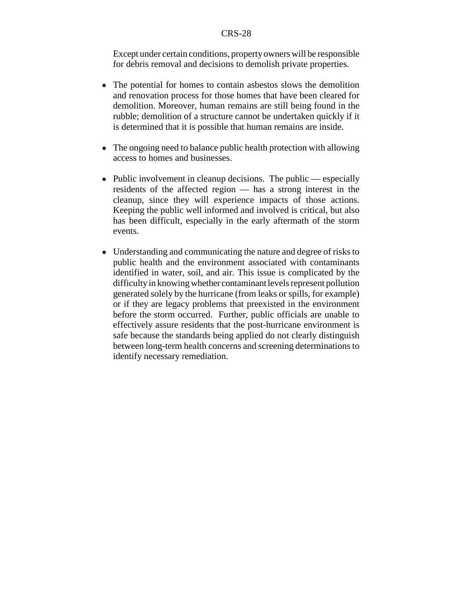Except under certain conditions, property owners will be responsible for debris removal and decisions to demolish private properties.

- The potential for homes to contain asbestos slows the demolition and renovation process for those homes that have been cleared for demolition. Moreover, human remains are still being found in the rubble; demolition of a structure cannot be undertaken quickly if it is determined that it is possible that human remains are inside.
- The ongoing need to balance public health protection with allowing access to homes and businesses.
- $\bullet$  Public involvement in cleanup decisions. The public especially residents of the affected region — has a strong interest in the cleanup, since they will experience impacts of those actions. Keeping the public well informed and involved is critical, but also has been difficult, especially in the early aftermath of the storm events.
- Understanding and communicating the nature and degree of risks to public health and the environment associated with contaminants identified in water, soil, and air. This issue is complicated by the difficulty in knowing whether contaminant levels represent pollution generated solely by the hurricane (from leaks or spills, for example) or if they are legacy problems that preexisted in the environment before the storm occurred. Further, public officials are unable to effectively assure residents that the post-hurricane environment is safe because the standards being applied do not clearly distinguish between long-term health concerns and screening determinations to identify necessary remediation.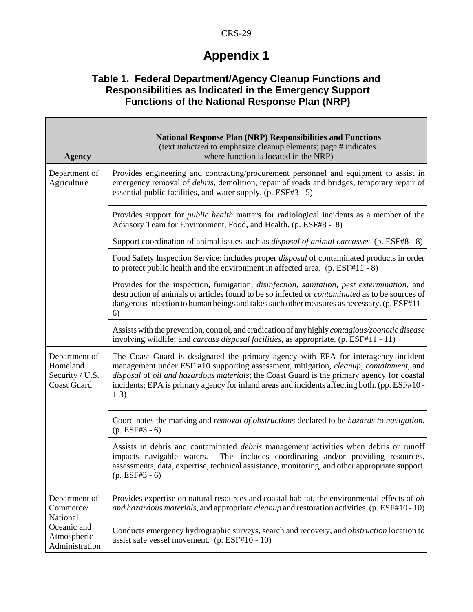## **Appendix 1**

### **Table 1. Federal Department/Agency Cleanup Functions and Responsibilities as Indicated in the Emergency Support Functions of the National Response Plan (NRP)**

 $\Box$ 

Т

| <b>Agency</b>                                                                          | <b>National Response Plan (NRP) Responsibilities and Functions</b><br>(text <i>italicized</i> to emphasize cleanup elements; page # indicates<br>where function is located in the NRP)                                                                                                                                                                                               |
|----------------------------------------------------------------------------------------|--------------------------------------------------------------------------------------------------------------------------------------------------------------------------------------------------------------------------------------------------------------------------------------------------------------------------------------------------------------------------------------|
| Department of<br>Agriculture                                                           | Provides engineering and contracting/procurement personnel and equipment to assist in<br>emergency removal of <i>debris</i> , demolition, repair of roads and bridges, temporary repair of<br>essential public facilities, and water supply. (p. ESF#3 - 5)                                                                                                                          |
|                                                                                        | Provides support for <i>public health</i> matters for radiological incidents as a member of the<br>Advisory Team for Environment, Food, and Health. (p. ESF#8 - 8)                                                                                                                                                                                                                   |
|                                                                                        | Support coordination of animal issues such as <i>disposal of animal carcasses</i> . (p. ESF#8 - 8)                                                                                                                                                                                                                                                                                   |
|                                                                                        | Food Safety Inspection Service: includes proper <i>disposal</i> of contaminated products in order<br>to protect public health and the environment in affected area. (p. ESF#11 - 8)                                                                                                                                                                                                  |
|                                                                                        | Provides for the inspection, fumigation, <i>disinfection, sanitation, pest extermination</i> , and<br>destruction of animals or articles found to be so infected or <i>contaminated</i> as to be sources of<br>dangerous infection to human beings and takes such other measures as necessary. (p. ESF#11 -<br>6)                                                                    |
|                                                                                        | Assists with the prevention, control, and eradication of any highly contagious/zoonotic disease<br>involving wildlife; and <i>carcass disposal facilities</i> , as appropriate. (p. ESF#11 - 11)                                                                                                                                                                                     |
| Department of<br>Homeland<br>Security / U.S.<br><b>Coast Guard</b>                     | The Coast Guard is designated the primary agency with EPA for interagency incident<br>management under ESF #10 supporting assessment, mitigation, cleanup, containment, and<br>disposal of oil and hazardous materials; the Coast Guard is the primary agency for coastal<br>incidents; EPA is primary agency for inland areas and incidents affecting both. (pp. ESF#10 -<br>$1-3)$ |
|                                                                                        | Coordinates the marking and <i>removal of obstructions</i> declared to be <i>hazards to navigation</i> .<br>$(p. ESF#3 - 6)$                                                                                                                                                                                                                                                         |
|                                                                                        | Assists in debris and contaminated <i>debris</i> management activities when debris or runoff<br>This includes coordinating and/or providing resources,<br>impacts navigable waters.<br>assessments, data, expertise, technical assistance, monitoring, and other appropriate support.<br>$(p. ESF#3 - 6)$                                                                            |
| Department of<br>Commerce/<br>National<br>Oceanic and<br>Atmospheric<br>Administration | Provides expertise on natural resources and coastal habitat, the environmental effects of oil<br>and hazardous materials, and appropriate <i>cleanup</i> and restoration activities. (p. ESF#10 - 10)                                                                                                                                                                                |
|                                                                                        | Conducts emergency hydrographic surveys, search and recovery, and <i>obstruction</i> location to<br>assist safe vessel movement. (p. ESF#10 - 10)                                                                                                                                                                                                                                    |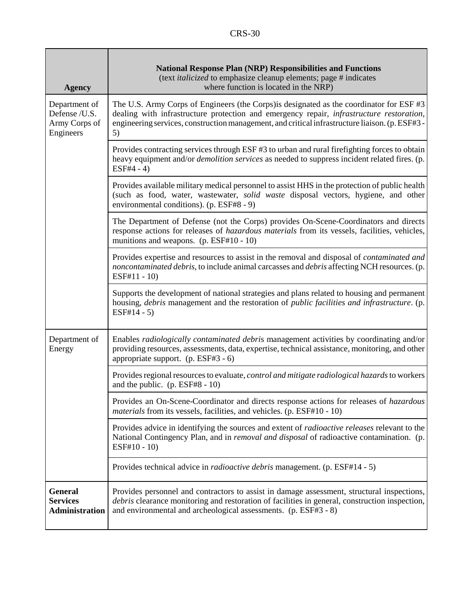| <b>Agency</b>                                                | <b>National Response Plan (NRP) Responsibilities and Functions</b><br>(text <i>italicized</i> to emphasize cleanup elements; page # indicates<br>where function is located in the NRP)                                                                                                        |
|--------------------------------------------------------------|-----------------------------------------------------------------------------------------------------------------------------------------------------------------------------------------------------------------------------------------------------------------------------------------------|
| Department of<br>Defense /U.S.<br>Army Corps of<br>Engineers | The U.S. Army Corps of Engineers (the Corps) is designated as the coordinator for ESF #3<br>dealing with infrastructure protection and emergency repair, infrastructure restoration,<br>engineering services, construction management, and critical infrastructure liaison. (p. ESF#3 -<br>5) |
|                                                              | Provides contracting services through ESF #3 to urban and rural firefighting forces to obtain<br>heavy equipment and/or <i>demolition services</i> as needed to suppress incident related fires. (p.<br>$ESF#4 - 4)$                                                                          |
|                                                              | Provides available military medical personnel to assist HHS in the protection of public health<br>(such as food, water, wastewater, solid waste disposal vectors, hygiene, and other<br>environmental conditions). (p. ESF#8 - 9)                                                             |
|                                                              | The Department of Defense (not the Corps) provides On-Scene-Coordinators and directs<br>response actions for releases of hazardous materials from its vessels, facilities, vehicles,<br>munitions and weapons. (p. ESF#10 - 10)                                                               |
|                                                              | Provides expertise and resources to assist in the removal and disposal of <i>contaminated and</i><br>noncontaminated debris, to include animal carcasses and debris affecting NCH resources. (p.<br>ESF#11 - 10)                                                                              |
|                                                              | Supports the development of national strategies and plans related to housing and permanent<br>housing, <i>debris</i> management and the restoration of <i>public facilities and infrastructure</i> . (p.<br>$ESF#14 - 5)$                                                                     |
| Department of<br>Energy                                      | Enables radiologically contaminated debris management activities by coordinating and/or<br>providing resources, assessments, data, expertise, technical assistance, monitoring, and other<br>appropriate support. (p. ESF#3 - 6)                                                              |
|                                                              | Provides regional resources to evaluate, <i>control and mitigate radiological hazards</i> to workers<br>and the public. $(p. ESF#8 - 10)$                                                                                                                                                     |
|                                                              | Provides an On-Scene-Coordinator and directs response actions for releases of hazardous<br><i>materials</i> from its vessels, facilities, and vehicles. (p. ESF#10 - 10)                                                                                                                      |
|                                                              | Provides advice in identifying the sources and extent of <i>radioactive releases</i> relevant to the<br>National Contingency Plan, and in <i>removal and disposal</i> of radioactive contamination. (p.<br>$ESF#10 - 10$                                                                      |
|                                                              | Provides technical advice in <i>radioactive debris</i> management. (p. ESF#14 - 5)                                                                                                                                                                                                            |
| <b>General</b><br><b>Services</b><br><b>Administration</b>   | Provides personnel and contractors to assist in damage assessment, structural inspections,<br>debris clearance monitoring and restoration of facilities in general, construction inspection,<br>and environmental and archeological assessments. (p. ESF#3 - 8)                               |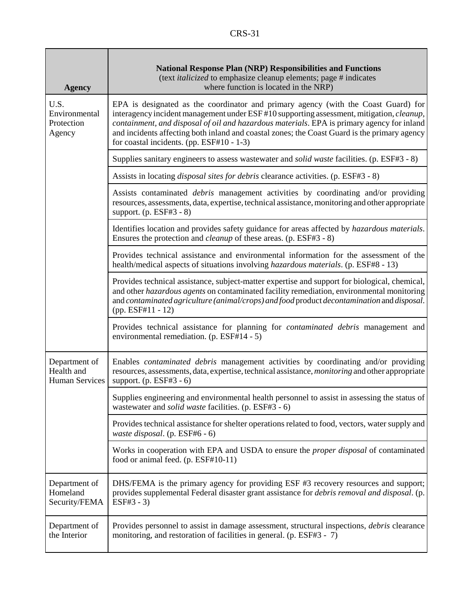| <b>Agency</b>                                        | <b>National Response Plan (NRP) Responsibilities and Functions</b><br>(text <i>italicized</i> to emphasize cleanup elements; page # indicates<br>where function is located in the NRP)                                                                                                                                                                                                                                        |
|------------------------------------------------------|-------------------------------------------------------------------------------------------------------------------------------------------------------------------------------------------------------------------------------------------------------------------------------------------------------------------------------------------------------------------------------------------------------------------------------|
| U.S.<br>Environmental<br>Protection<br>Agency        | EPA is designated as the coordinator and primary agency (with the Coast Guard) for<br>interagency incident management under ESF #10 supporting assessment, mitigation, cleanup,<br>containment, and disposal of oil and hazardous materials. EPA is primary agency for inland<br>and incidents affecting both inland and coastal zones; the Coast Guard is the primary agency<br>for coastal incidents. (pp. $ESF#10 - 1-3$ ) |
|                                                      | Supplies sanitary engineers to assess wastewater and <i>solid waste</i> facilities. (p. ESF#3 - 8)                                                                                                                                                                                                                                                                                                                            |
|                                                      | Assists in locating <i>disposal sites for debris</i> clearance activities. (p. ESF#3 - 8)                                                                                                                                                                                                                                                                                                                                     |
|                                                      | Assists contaminated <i>debris</i> management activities by coordinating and/or providing<br>resources, assessments, data, expertise, technical assistance, monitoring and other appropriate<br>support. $(p. ESF#3 - 8)$                                                                                                                                                                                                     |
|                                                      | Identifies location and provides safety guidance for areas affected by hazardous materials.<br>Ensures the protection and <i>cleanup</i> of these areas. (p. ESF#3 - 8)                                                                                                                                                                                                                                                       |
|                                                      | Provides technical assistance and environmental information for the assessment of the<br>health/medical aspects of situations involving <i>hazardous materials</i> . (p. ESF#8 - 13)                                                                                                                                                                                                                                          |
|                                                      | Provides technical assistance, subject-matter expertise and support for biological, chemical,<br>and other hazardous agents on contaminated facility remediation, environmental monitoring<br>and contaminated agriculture (animal/crops) and food product decontamination and disposal.<br>$(pp. ESF#11 - 12)$                                                                                                               |
|                                                      | Provides technical assistance for planning for <i>contaminated debris</i> management and<br>environmental remediation. (p. ESF#14 - 5)                                                                                                                                                                                                                                                                                        |
| Department of<br>Health and<br><b>Human Services</b> | Enables <i>contaminated debris</i> management activities by coordinating and/or providing<br>resources, assessments, data, expertise, technical assistance, <i>monitoring</i> and other appropriate<br>support. $(p. ESF#3 - 6)$                                                                                                                                                                                              |
|                                                      | Supplies engineering and environmental health personnel to assist in assessing the status of<br>wastewater and <i>solid waste</i> facilities. (p. ESF#3 - 6)                                                                                                                                                                                                                                                                  |
|                                                      | Provides technical assistance for shelter operations related to food, vectors, water supply and<br>waste disposal. (p. ESF#6 - 6)                                                                                                                                                                                                                                                                                             |
|                                                      | Works in cooperation with EPA and USDA to ensure the <i>proper disposal</i> of contaminated<br>food or animal feed. (p. ESF#10-11)                                                                                                                                                                                                                                                                                            |
| Department of<br>Homeland<br>Security/FEMA           | DHS/FEMA is the primary agency for providing ESF #3 recovery resources and support;<br>provides supplemental Federal disaster grant assistance for <i>debris removal and disposal</i> . (p.<br>$ESF#3 - 3)$                                                                                                                                                                                                                   |
| Department of<br>the Interior                        | Provides personnel to assist in damage assessment, structural inspections, debris clearance<br>monitoring, and restoration of facilities in general. (p. ESF#3 - 7)                                                                                                                                                                                                                                                           |